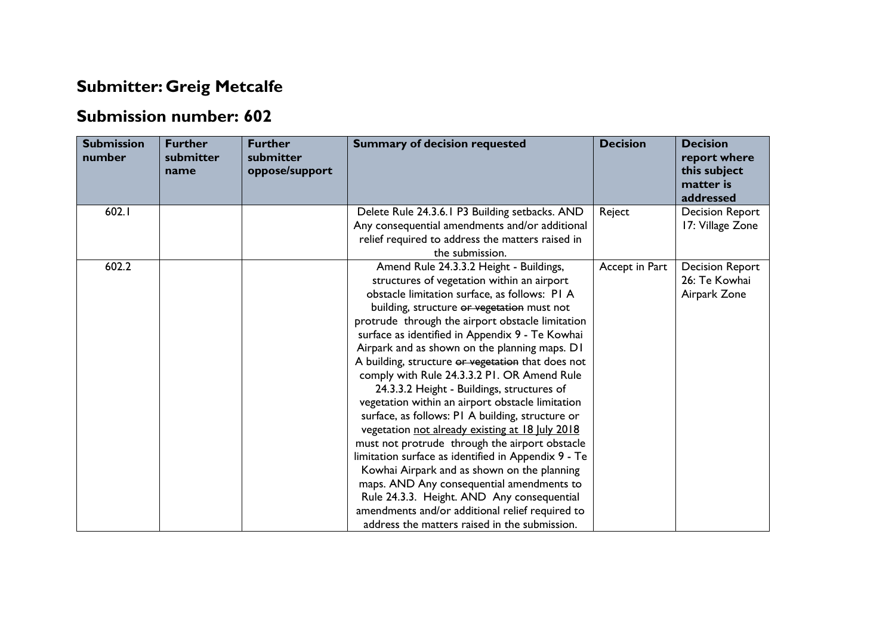## **Submitter: Greig Metcalfe**

## **Submission number: 602**

| <b>Submission</b><br>number | <b>Further</b><br>submitter<br>name | <b>Further</b><br>submitter<br>oppose/support | <b>Summary of decision requested</b>                                                             | <b>Decision</b> | <b>Decision</b><br>report where<br>this subject<br>matter is<br>addressed |
|-----------------------------|-------------------------------------|-----------------------------------------------|--------------------------------------------------------------------------------------------------|-----------------|---------------------------------------------------------------------------|
| 602.1                       |                                     |                                               | Delete Rule 24.3.6.1 P3 Building setbacks. AND                                                   | Reject          | <b>Decision Report</b>                                                    |
|                             |                                     |                                               | Any consequential amendments and/or additional                                                   |                 | 17: Village Zone                                                          |
|                             |                                     |                                               | relief required to address the matters raised in                                                 |                 |                                                                           |
|                             |                                     |                                               | the submission.                                                                                  |                 |                                                                           |
| 602.2                       |                                     |                                               | Amend Rule 24.3.3.2 Height - Buildings,                                                          | Accept in Part  | <b>Decision Report</b>                                                    |
|                             |                                     |                                               | structures of vegetation within an airport                                                       |                 | 26: Te Kowhai                                                             |
|                             |                                     |                                               | obstacle limitation surface, as follows: PI A                                                    |                 | Airpark Zone                                                              |
|                             |                                     |                                               | building, structure or vegetation must not                                                       |                 |                                                                           |
|                             |                                     |                                               | protrude through the airport obstacle limitation                                                 |                 |                                                                           |
|                             |                                     |                                               | surface as identified in Appendix 9 - Te Kowhai<br>Airpark and as shown on the planning maps. D1 |                 |                                                                           |
|                             |                                     |                                               | A building, structure or vegetation that does not                                                |                 |                                                                           |
|                             |                                     |                                               | comply with Rule 24.3.3.2 PI. OR Amend Rule                                                      |                 |                                                                           |
|                             |                                     |                                               | 24.3.3.2 Height - Buildings, structures of                                                       |                 |                                                                           |
|                             |                                     |                                               | vegetation within an airport obstacle limitation                                                 |                 |                                                                           |
|                             |                                     |                                               | surface, as follows: PI A building, structure or                                                 |                 |                                                                           |
|                             |                                     |                                               | vegetation not already existing at 18 July 2018                                                  |                 |                                                                           |
|                             |                                     |                                               | must not protrude through the airport obstacle                                                   |                 |                                                                           |
|                             |                                     |                                               | limitation surface as identified in Appendix 9 - Te                                              |                 |                                                                           |
|                             |                                     |                                               | Kowhai Airpark and as shown on the planning                                                      |                 |                                                                           |
|                             |                                     |                                               | maps. AND Any consequential amendments to                                                        |                 |                                                                           |
|                             |                                     |                                               | Rule 24.3.3. Height. AND Any consequential                                                       |                 |                                                                           |
|                             |                                     |                                               | amendments and/or additional relief required to                                                  |                 |                                                                           |
|                             |                                     |                                               | address the matters raised in the submission.                                                    |                 |                                                                           |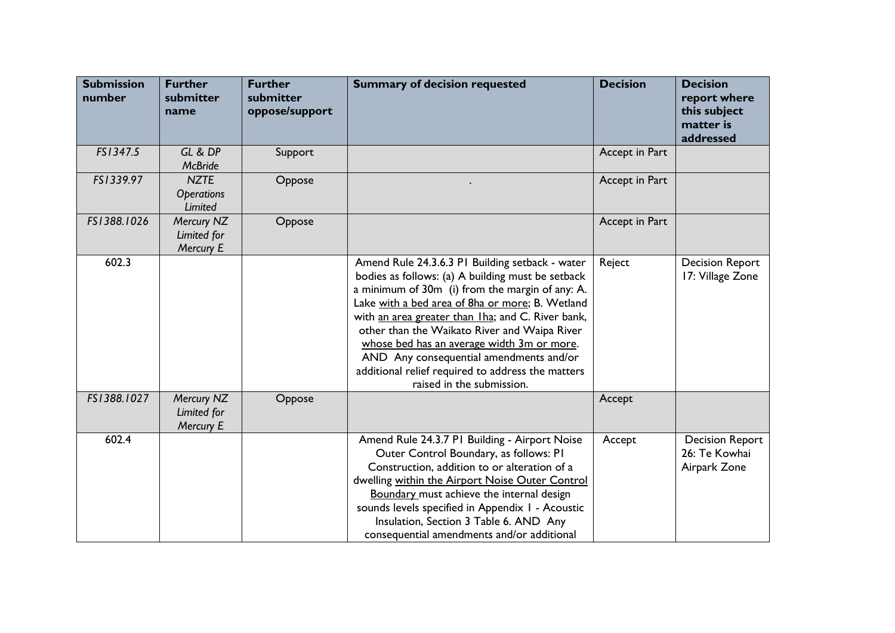| <b>Submission</b><br>number | <b>Further</b><br>submitter<br>name                | <b>Further</b><br>submitter<br>oppose/support | <b>Summary of decision requested</b>                                                                                                                                                                                                                                                                                                                                                                                                                                                       | <b>Decision</b> | <b>Decision</b><br>report where<br>this subject<br>matter is<br>addressed |
|-----------------------------|----------------------------------------------------|-----------------------------------------------|--------------------------------------------------------------------------------------------------------------------------------------------------------------------------------------------------------------------------------------------------------------------------------------------------------------------------------------------------------------------------------------------------------------------------------------------------------------------------------------------|-----------------|---------------------------------------------------------------------------|
| FS1347.5                    | GL & DP<br><b>McBride</b>                          | Support                                       |                                                                                                                                                                                                                                                                                                                                                                                                                                                                                            | Accept in Part  |                                                                           |
| FS1339.97                   | <b>NZTE</b><br><b>Operations</b><br><b>Limited</b> | Oppose                                        |                                                                                                                                                                                                                                                                                                                                                                                                                                                                                            | Accept in Part  |                                                                           |
| FS1388.1026                 | Mercury NZ<br>Limited for<br>Mercury E             | Oppose                                        |                                                                                                                                                                                                                                                                                                                                                                                                                                                                                            | Accept in Part  |                                                                           |
| 602.3                       |                                                    |                                               | Amend Rule 24.3.6.3 PI Building setback - water<br>bodies as follows: (a) A building must be setback<br>a minimum of 30m (i) from the margin of any: A.<br>Lake with a bed area of 8ha or more; B. Wetland<br>with an area greater than Iha; and C. River bank,<br>other than the Waikato River and Waipa River<br>whose bed has an average width 3m or more.<br>AND Any consequential amendments and/or<br>additional relief required to address the matters<br>raised in the submission. | Reject          | <b>Decision Report</b><br>17: Village Zone                                |
| FS1388.1027                 | Mercury NZ<br>Limited for<br>Mercury E             | Oppose                                        |                                                                                                                                                                                                                                                                                                                                                                                                                                                                                            | Accept          |                                                                           |
| 602.4                       |                                                    |                                               | Amend Rule 24.3.7 P1 Building - Airport Noise<br>Outer Control Boundary, as follows: PI<br>Construction, addition to or alteration of a<br>dwelling within the Airport Noise Outer Control<br>Boundary must achieve the internal design<br>sounds levels specified in Appendix I - Acoustic<br>Insulation, Section 3 Table 6. AND Any<br>consequential amendments and/or additional                                                                                                        | Accept          | <b>Decision Report</b><br>26: Te Kowhai<br>Airpark Zone                   |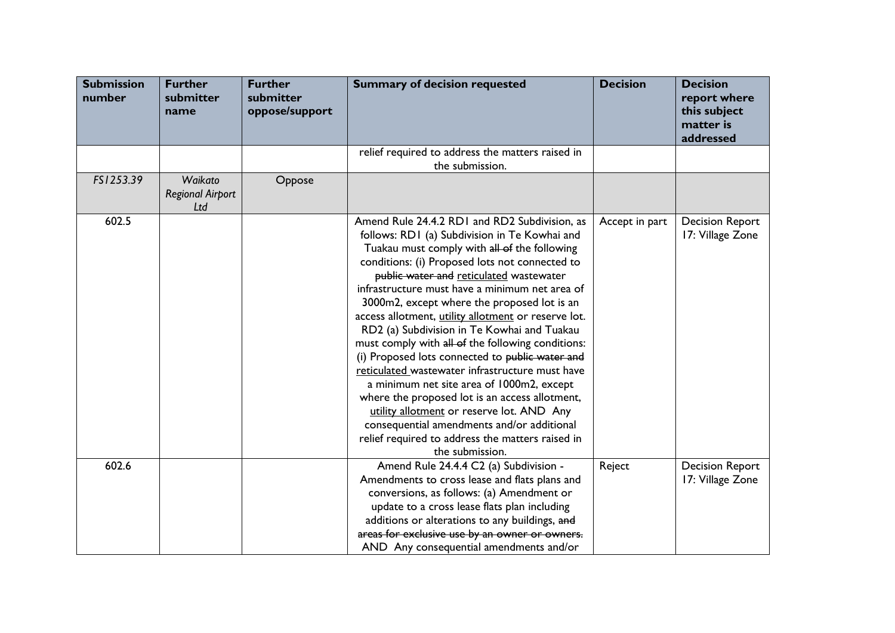| <b>Submission</b><br>number | <b>Further</b><br>submitter<br>name       | <b>Further</b><br>submitter<br>oppose/support | <b>Summary of decision requested</b>                                                                                                                                                                                                                                                                                                                                                                                                                                                                                                                                                                                                                                                                                                                                                                                                                                           | <b>Decision</b> | <b>Decision</b><br>report where<br>this subject<br>matter is<br>addressed |
|-----------------------------|-------------------------------------------|-----------------------------------------------|--------------------------------------------------------------------------------------------------------------------------------------------------------------------------------------------------------------------------------------------------------------------------------------------------------------------------------------------------------------------------------------------------------------------------------------------------------------------------------------------------------------------------------------------------------------------------------------------------------------------------------------------------------------------------------------------------------------------------------------------------------------------------------------------------------------------------------------------------------------------------------|-----------------|---------------------------------------------------------------------------|
|                             |                                           |                                               | relief required to address the matters raised in<br>the submission.                                                                                                                                                                                                                                                                                                                                                                                                                                                                                                                                                                                                                                                                                                                                                                                                            |                 |                                                                           |
| FS1253.39                   | Waikato<br><b>Regional Airport</b><br>Ltd | Oppose                                        |                                                                                                                                                                                                                                                                                                                                                                                                                                                                                                                                                                                                                                                                                                                                                                                                                                                                                |                 |                                                                           |
| 602.5                       |                                           |                                               | Amend Rule 24.4.2 RD1 and RD2 Subdivision, as<br>follows: RD1 (a) Subdivision in Te Kowhai and<br>Tuakau must comply with all of the following<br>conditions: (i) Proposed lots not connected to<br>public water and reticulated wastewater<br>infrastructure must have a minimum net area of<br>3000m2, except where the proposed lot is an<br>access allotment, utility allotment or reserve lot.<br>RD2 (a) Subdivision in Te Kowhai and Tuakau<br>must comply with all of the following conditions:<br>(i) Proposed lots connected to public water and<br>reticulated wastewater infrastructure must have<br>a minimum net site area of 1000m2, except<br>where the proposed lot is an access allotment,<br>utility allotment or reserve lot. AND Any<br>consequential amendments and/or additional<br>relief required to address the matters raised in<br>the submission. | Accept in part  | <b>Decision Report</b><br>17: Village Zone                                |
| 602.6                       |                                           |                                               | Amend Rule 24.4.4 C2 (a) Subdivision -<br>Amendments to cross lease and flats plans and<br>conversions, as follows: (a) Amendment or<br>update to a cross lease flats plan including<br>additions or alterations to any buildings, and<br>areas for exclusive use by an owner or owners.<br>AND Any consequential amendments and/or                                                                                                                                                                                                                                                                                                                                                                                                                                                                                                                                            | Reject          | <b>Decision Report</b><br>17: Village Zone                                |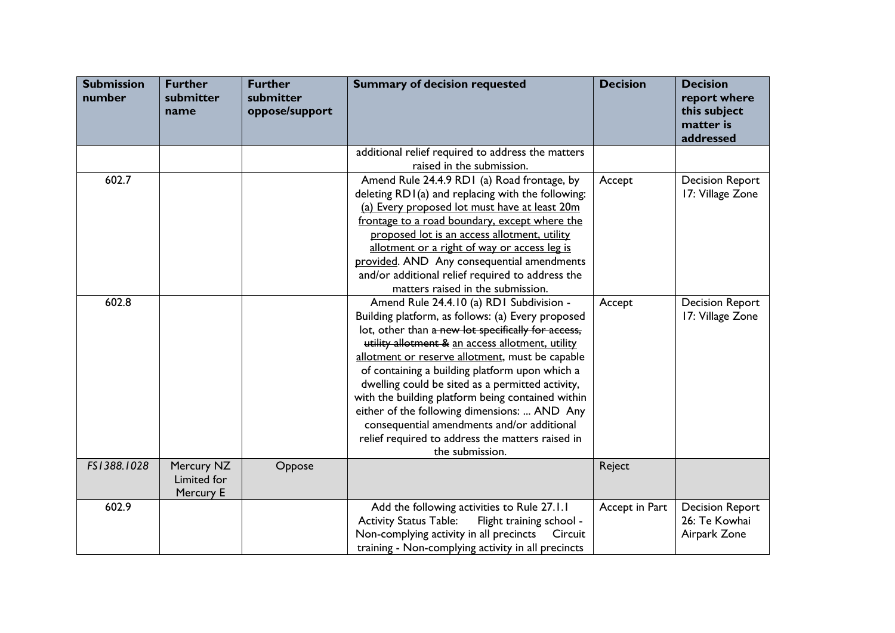| <b>Submission</b><br>number | <b>Further</b><br>submitter<br>name    | <b>Further</b><br>submitter<br>oppose/support | <b>Summary of decision requested</b>                      | <b>Decision</b> | <b>Decision</b><br>report where<br>this subject<br>matter is<br>addressed |
|-----------------------------|----------------------------------------|-----------------------------------------------|-----------------------------------------------------------|-----------------|---------------------------------------------------------------------------|
|                             |                                        |                                               | additional relief required to address the matters         |                 |                                                                           |
|                             |                                        |                                               | raised in the submission.                                 |                 |                                                                           |
| 602.7                       |                                        |                                               | Amend Rule 24.4.9 RD1 (a) Road frontage, by               | Accept          | <b>Decision Report</b>                                                    |
|                             |                                        |                                               | deleting RD1(a) and replacing with the following:         |                 | 17: Village Zone                                                          |
|                             |                                        |                                               | (a) Every proposed lot must have at least 20m             |                 |                                                                           |
|                             |                                        |                                               | frontage to a road boundary, except where the             |                 |                                                                           |
|                             |                                        |                                               | proposed lot is an access allotment, utility              |                 |                                                                           |
|                             |                                        |                                               | allotment or a right of way or access leg is              |                 |                                                                           |
|                             |                                        |                                               | provided. AND Any consequential amendments                |                 |                                                                           |
|                             |                                        |                                               | and/or additional relief required to address the          |                 |                                                                           |
|                             |                                        |                                               | matters raised in the submission.                         |                 |                                                                           |
| 602.8                       |                                        |                                               | Amend Rule 24.4.10 (a) RD1 Subdivision -                  | Accept          | <b>Decision Report</b>                                                    |
|                             |                                        |                                               | Building platform, as follows: (a) Every proposed         |                 | 17: Village Zone                                                          |
|                             |                                        |                                               | lot, other than a new lot specifically for access,        |                 |                                                                           |
|                             |                                        |                                               | utility allotment & an access allotment, utility          |                 |                                                                           |
|                             |                                        |                                               | allotment or reserve allotment, must be capable           |                 |                                                                           |
|                             |                                        |                                               | of containing a building platform upon which a            |                 |                                                                           |
|                             |                                        |                                               | dwelling could be sited as a permitted activity,          |                 |                                                                           |
|                             |                                        |                                               | with the building platform being contained within         |                 |                                                                           |
|                             |                                        |                                               | either of the following dimensions:  AND Any              |                 |                                                                           |
|                             |                                        |                                               | consequential amendments and/or additional                |                 |                                                                           |
|                             |                                        |                                               | relief required to address the matters raised in          |                 |                                                                           |
|                             |                                        |                                               | the submission.                                           |                 |                                                                           |
| FS1388.1028                 | Mercury NZ<br>Limited for<br>Mercury E | Oppose                                        |                                                           | Reject          |                                                                           |
| 602.9                       |                                        |                                               | Add the following activities to Rule 27.1.1               | Accept in Part  | <b>Decision Report</b>                                                    |
|                             |                                        |                                               | <b>Activity Status Table:</b><br>Flight training school - |                 | 26: Te Kowhai                                                             |
|                             |                                        |                                               | Non-complying activity in all precincts<br>Circuit        |                 | Airpark Zone                                                              |
|                             |                                        |                                               | training - Non-complying activity in all precincts        |                 |                                                                           |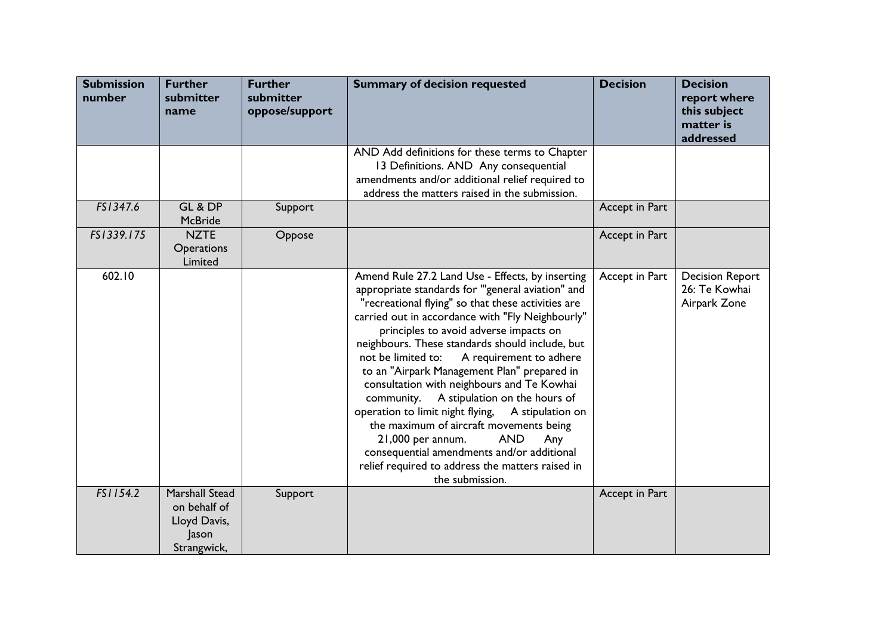| <b>Submission</b><br>number | <b>Further</b><br>submitter<br>name                                    | <b>Further</b><br>submitter<br>oppose/support | <b>Summary of decision requested</b>                                                                                                                                                                                                                                                                                                                                                                                                                                                                                                                                                                                                                                                                                                                                       | <b>Decision</b> | <b>Decision</b><br>report where<br>this subject<br>matter is<br>addressed |
|-----------------------------|------------------------------------------------------------------------|-----------------------------------------------|----------------------------------------------------------------------------------------------------------------------------------------------------------------------------------------------------------------------------------------------------------------------------------------------------------------------------------------------------------------------------------------------------------------------------------------------------------------------------------------------------------------------------------------------------------------------------------------------------------------------------------------------------------------------------------------------------------------------------------------------------------------------------|-----------------|---------------------------------------------------------------------------|
|                             |                                                                        |                                               | AND Add definitions for these terms to Chapter<br>13 Definitions. AND Any consequential<br>amendments and/or additional relief required to<br>address the matters raised in the submission.                                                                                                                                                                                                                                                                                                                                                                                                                                                                                                                                                                                |                 |                                                                           |
| FS1347.6                    | GL & DP<br>McBride                                                     | Support                                       |                                                                                                                                                                                                                                                                                                                                                                                                                                                                                                                                                                                                                                                                                                                                                                            | Accept in Part  |                                                                           |
| FS1339.175                  | <b>NZTE</b><br><b>Operations</b><br>Limited                            | Oppose                                        |                                                                                                                                                                                                                                                                                                                                                                                                                                                                                                                                                                                                                                                                                                                                                                            | Accept in Part  |                                                                           |
| 602.10                      |                                                                        |                                               | Amend Rule 27.2 Land Use - Effects, by inserting<br>appropriate standards for "general aviation" and<br>"recreational flying" so that these activities are<br>carried out in accordance with "Fly Neighbourly"<br>principles to avoid adverse impacts on<br>neighbours. These standards should include, but<br>not be limited to:<br>A requirement to adhere<br>to an "Airpark Management Plan" prepared in<br>consultation with neighbours and Te Kowhai<br>A stipulation on the hours of<br>community.<br>operation to limit night flying,<br>A stipulation on<br>the maximum of aircraft movements being<br><b>AND</b><br>21,000 per annum.<br>Any<br>consequential amendments and/or additional<br>relief required to address the matters raised in<br>the submission. | Accept in Part  | <b>Decision Report</b><br>26: Te Kowhai<br>Airpark Zone                   |
| FS1154.2                    | Marshall Stead<br>on behalf of<br>Lloyd Davis,<br>Jason<br>Strangwick, | Support                                       |                                                                                                                                                                                                                                                                                                                                                                                                                                                                                                                                                                                                                                                                                                                                                                            | Accept in Part  |                                                                           |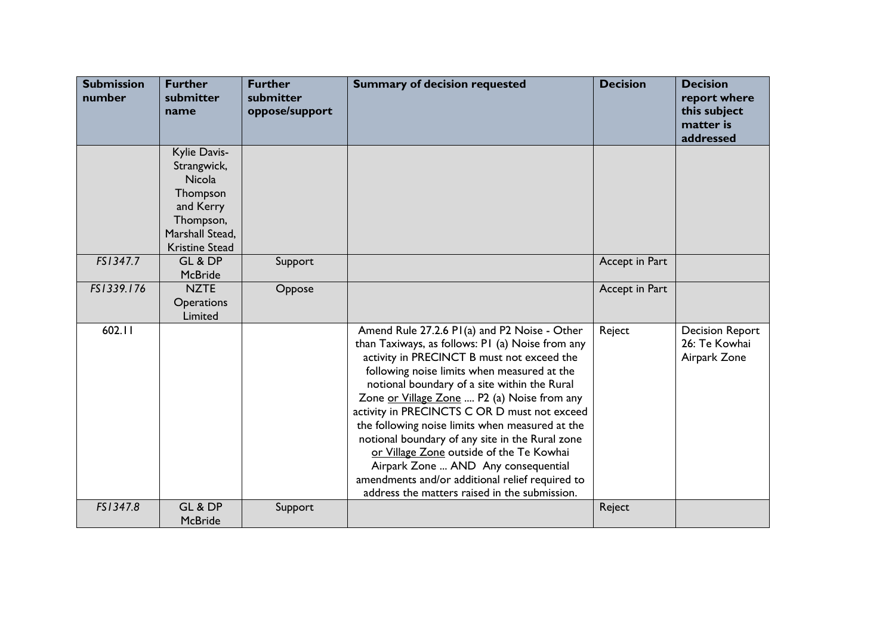| <b>Submission</b><br>number | <b>Further</b><br>submitter<br>name                                                                                            | <b>Further</b><br>submitter<br>oppose/support | <b>Summary of decision requested</b>                                                                                                                                                                                                                                                                                                                                                                                                                                                                                                                                                                                                      | <b>Decision</b> | <b>Decision</b><br>report where<br>this subject<br>matter is<br>addressed |
|-----------------------------|--------------------------------------------------------------------------------------------------------------------------------|-----------------------------------------------|-------------------------------------------------------------------------------------------------------------------------------------------------------------------------------------------------------------------------------------------------------------------------------------------------------------------------------------------------------------------------------------------------------------------------------------------------------------------------------------------------------------------------------------------------------------------------------------------------------------------------------------------|-----------------|---------------------------------------------------------------------------|
|                             | Kylie Davis-<br>Strangwick,<br><b>Nicola</b><br>Thompson<br>and Kerry<br>Thompson,<br>Marshall Stead,<br><b>Kristine Stead</b> |                                               |                                                                                                                                                                                                                                                                                                                                                                                                                                                                                                                                                                                                                                           |                 |                                                                           |
| FS1347.7                    | GL & DP<br><b>McBride</b>                                                                                                      | Support                                       |                                                                                                                                                                                                                                                                                                                                                                                                                                                                                                                                                                                                                                           | Accept in Part  |                                                                           |
| FS1339.176                  | <b>NZTE</b><br>Operations<br>Limited                                                                                           | Oppose                                        |                                                                                                                                                                                                                                                                                                                                                                                                                                                                                                                                                                                                                                           | Accept in Part  |                                                                           |
| 602.11                      |                                                                                                                                |                                               | Amend Rule 27.2.6 P1(a) and P2 Noise - Other<br>than Taxiways, as follows: PI (a) Noise from any<br>activity in PRECINCT B must not exceed the<br>following noise limits when measured at the<br>notional boundary of a site within the Rural<br>Zone or Village Zone  P2 (a) Noise from any<br>activity in PRECINCTS C OR D must not exceed<br>the following noise limits when measured at the<br>notional boundary of any site in the Rural zone<br>or Village Zone outside of the Te Kowhai<br>Airpark Zone  AND Any consequential<br>amendments and/or additional relief required to<br>address the matters raised in the submission. | Reject          | <b>Decision Report</b><br>26: Te Kowhai<br>Airpark Zone                   |
| FS1347.8                    | GL & DP<br><b>McBride</b>                                                                                                      | Support                                       |                                                                                                                                                                                                                                                                                                                                                                                                                                                                                                                                                                                                                                           | Reject          |                                                                           |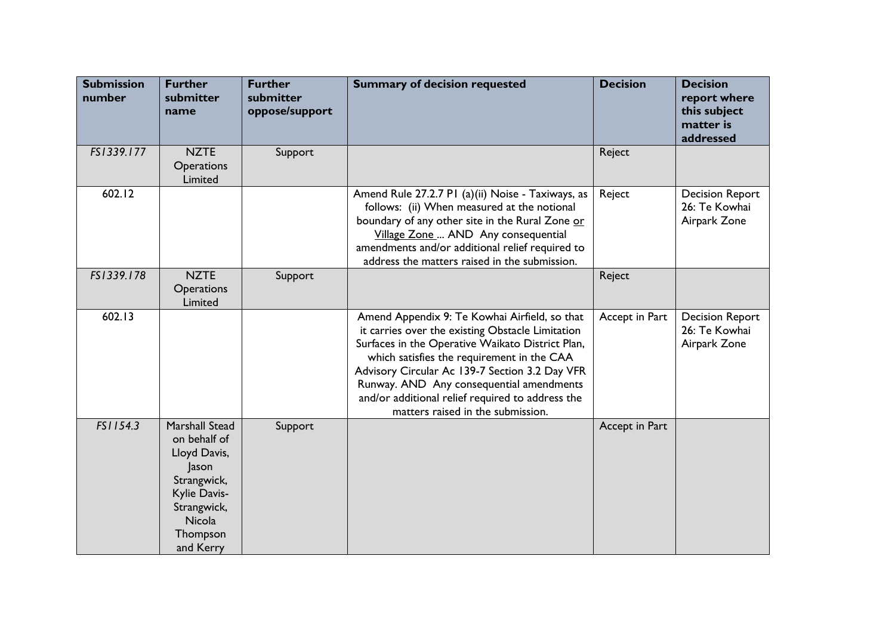| <b>Submission</b><br>number | <b>Further</b><br>submitter<br>name                                                                                                                    | <b>Further</b><br>submitter<br>oppose/support | <b>Summary of decision requested</b>                                                                                                                                                                                                                                                                                                                                                       | <b>Decision</b> | <b>Decision</b><br>report where<br>this subject<br>matter is<br>addressed |
|-----------------------------|--------------------------------------------------------------------------------------------------------------------------------------------------------|-----------------------------------------------|--------------------------------------------------------------------------------------------------------------------------------------------------------------------------------------------------------------------------------------------------------------------------------------------------------------------------------------------------------------------------------------------|-----------------|---------------------------------------------------------------------------|
| FS1339.177                  | <b>NZTE</b><br>Operations<br>Limited                                                                                                                   | Support                                       |                                                                                                                                                                                                                                                                                                                                                                                            | Reject          |                                                                           |
| 602.12                      |                                                                                                                                                        |                                               | Amend Rule 27.2.7 P1 (a)(ii) Noise - Taxiways, as<br>follows: (ii) When measured at the notional<br>boundary of any other site in the Rural Zone or<br>Village Zone  AND Any consequential<br>amendments and/or additional relief required to<br>address the matters raised in the submission.                                                                                             | Reject          | <b>Decision Report</b><br>26: Te Kowhai<br>Airpark Zone                   |
| FS1339.178                  | <b>NZTE</b><br>Operations<br>Limited                                                                                                                   | Support                                       |                                                                                                                                                                                                                                                                                                                                                                                            | Reject          |                                                                           |
| 602.13                      |                                                                                                                                                        |                                               | Amend Appendix 9: Te Kowhai Airfield, so that<br>it carries over the existing Obstacle Limitation<br>Surfaces in the Operative Waikato District Plan,<br>which satisfies the requirement in the CAA<br>Advisory Circular Ac 139-7 Section 3.2 Day VFR<br>Runway. AND Any consequential amendments<br>and/or additional relief required to address the<br>matters raised in the submission. | Accept in Part  | <b>Decision Report</b><br>26: Te Kowhai<br>Airpark Zone                   |
| FS1154.3                    | <b>Marshall Stead</b><br>on behalf of<br>Lloyd Davis,<br>Jason<br>Strangwick,<br>Kylie Davis-<br>Strangwick,<br><b>Nicola</b><br>Thompson<br>and Kerry | Support                                       |                                                                                                                                                                                                                                                                                                                                                                                            | Accept in Part  |                                                                           |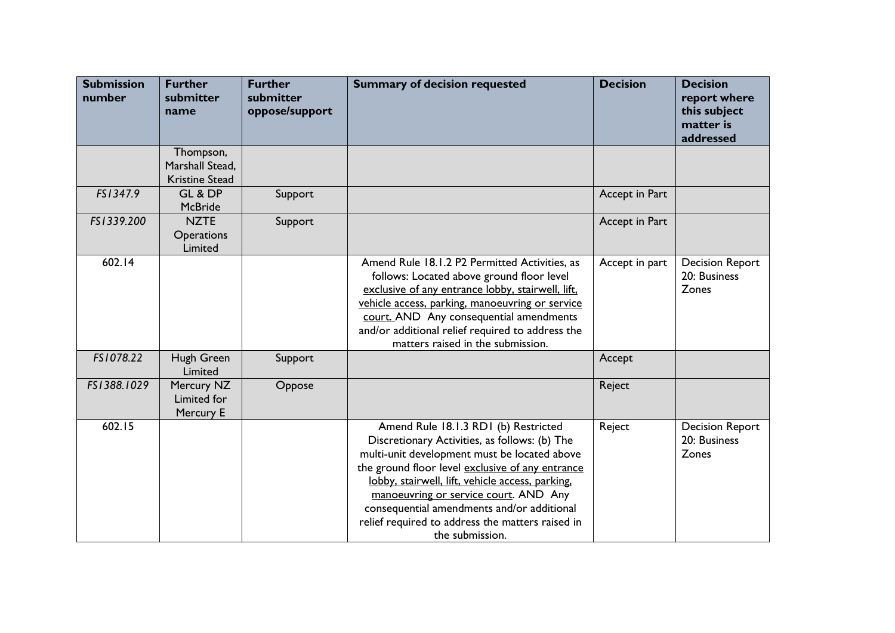| <b>Submission</b><br>number | <b>Further</b><br>submitter<br>name                   | <b>Further</b><br>submitter<br>oppose/support | <b>Summary of decision requested</b>                                                                                                                                                                                                                                                                                                                                                                        | <b>Decision</b> | <b>Decision</b><br>report where<br>this subject<br>matter is<br>addressed |
|-----------------------------|-------------------------------------------------------|-----------------------------------------------|-------------------------------------------------------------------------------------------------------------------------------------------------------------------------------------------------------------------------------------------------------------------------------------------------------------------------------------------------------------------------------------------------------------|-----------------|---------------------------------------------------------------------------|
|                             | Thompson,<br>Marshall Stead,<br><b>Kristine Stead</b> |                                               |                                                                                                                                                                                                                                                                                                                                                                                                             |                 |                                                                           |
| FS1347.9                    | GL & DP<br><b>McBride</b>                             | Support                                       |                                                                                                                                                                                                                                                                                                                                                                                                             | Accept in Part  |                                                                           |
| FS1339.200                  | <b>NZTE</b><br><b>Operations</b><br>Limited           | Support                                       |                                                                                                                                                                                                                                                                                                                                                                                                             | Accept in Part  |                                                                           |
| 602.14                      |                                                       |                                               | Amend Rule 18.1.2 P2 Permitted Activities, as<br>follows: Located above ground floor level<br>exclusive of any entrance lobby, stairwell, lift,<br>vehicle access, parking, manoeuvring or service<br>court. AND Any consequential amendments<br>and/or additional relief required to address the<br>matters raised in the submission.                                                                      | Accept in part  | <b>Decision Report</b><br>20: Business<br>Zones                           |
| FS1078.22                   | Hugh Green<br>Limited                                 | Support                                       |                                                                                                                                                                                                                                                                                                                                                                                                             | Accept          |                                                                           |
| FS1388.1029                 | Mercury NZ<br>Limited for<br>Mercury E                | Oppose                                        |                                                                                                                                                                                                                                                                                                                                                                                                             | Reject          |                                                                           |
| 602.15                      |                                                       |                                               | Amend Rule 18.1.3 RD1 (b) Restricted<br>Discretionary Activities, as follows: (b) The<br>multi-unit development must be located above<br>the ground floor level exclusive of any entrance<br>lobby, stairwell, lift, vehicle access, parking,<br>manoeuvring or service court. AND Any<br>consequential amendments and/or additional<br>relief required to address the matters raised in<br>the submission. | Reject          | <b>Decision Report</b><br>20: Business<br>Zones                           |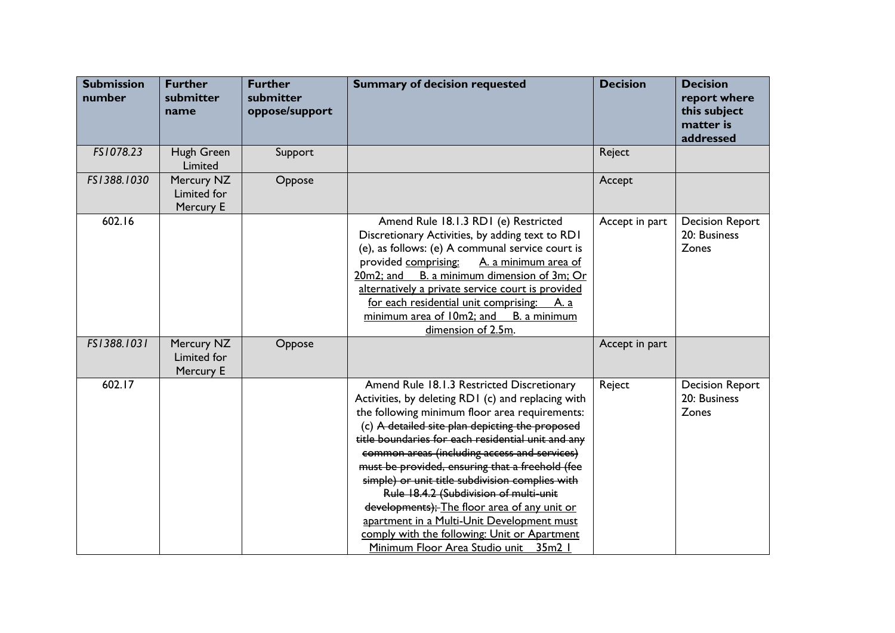| <b>Submission</b><br>number | <b>Further</b><br>submitter<br>name    | <b>Further</b><br>submitter<br>oppose/support | <b>Summary of decision requested</b>                                                                                                                                                                                                                                                                                                                                                                                                                                                                                                                                                                                                               | <b>Decision</b> | <b>Decision</b><br>report where<br>this subject<br>matter is<br>addressed |
|-----------------------------|----------------------------------------|-----------------------------------------------|----------------------------------------------------------------------------------------------------------------------------------------------------------------------------------------------------------------------------------------------------------------------------------------------------------------------------------------------------------------------------------------------------------------------------------------------------------------------------------------------------------------------------------------------------------------------------------------------------------------------------------------------------|-----------------|---------------------------------------------------------------------------|
| FS1078.23                   | Hugh Green<br>Limited                  | Support                                       |                                                                                                                                                                                                                                                                                                                                                                                                                                                                                                                                                                                                                                                    | Reject          |                                                                           |
| FS1388.1030                 | Mercury NZ<br>Limited for<br>Mercury E | Oppose                                        |                                                                                                                                                                                                                                                                                                                                                                                                                                                                                                                                                                                                                                                    | Accept          |                                                                           |
| 602.16                      |                                        |                                               | Amend Rule 18.1.3 RD1 (e) Restricted<br>Discretionary Activities, by adding text to RD1<br>(e), as follows: (e) A communal service court is<br>provided comprising:<br>A. a minimum area of<br>B. a minimum dimension of 3m; Or<br>20m2; and<br>alternatively a private service court is provided<br>for each residential unit comprising: A. a<br>minimum area of 10m2; and<br>B. a minimum<br>dimension of 2.5m.                                                                                                                                                                                                                                 | Accept in part  | <b>Decision Report</b><br>20: Business<br>Zones                           |
| FS1388.1031                 | Mercury NZ<br>Limited for<br>Mercury E | Oppose                                        |                                                                                                                                                                                                                                                                                                                                                                                                                                                                                                                                                                                                                                                    | Accept in part  |                                                                           |
| 602.17                      |                                        |                                               | Amend Rule 18.1.3 Restricted Discretionary<br>Activities, by deleting RD1 (c) and replacing with<br>the following minimum floor area requirements:<br>(c) A detailed site plan depicting the proposed<br>title boundaries for each residential unit and any<br>common areas (including access and services)<br>must be provided, ensuring that a freehold (fee<br>simple) or unit title subdivision complies with<br>Rule 18.4.2 (Subdivision of multi-unit<br>developments); The floor area of any unit or<br>apartment in a Multi-Unit Development must<br>comply with the following: Unit or Apartment<br>Minimum Floor Area Studio unit 35m2 I | Reject          | <b>Decision Report</b><br>20: Business<br>Zones                           |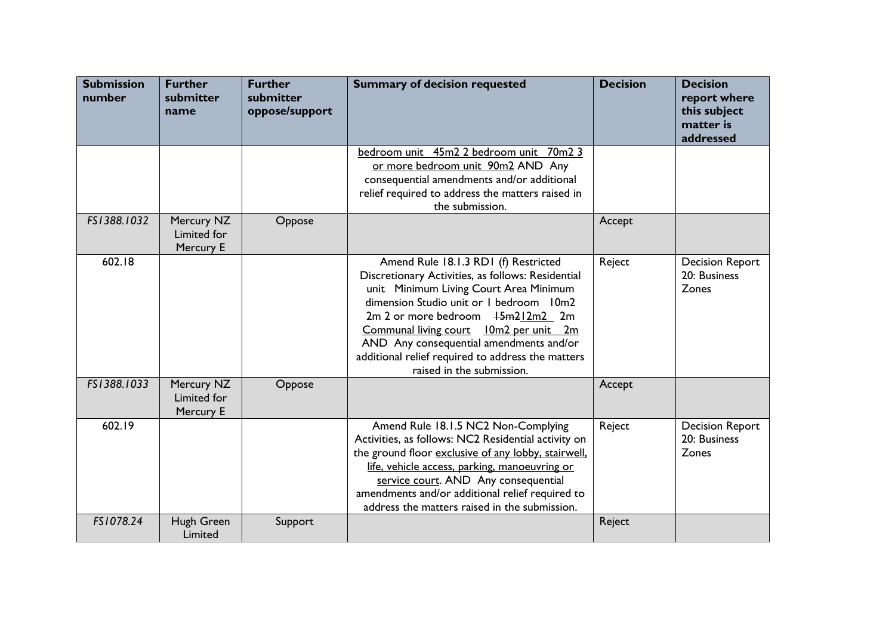| <b>Submission</b><br>number | <b>Further</b><br>submitter<br>name    | <b>Further</b><br>submitter<br>oppose/support | <b>Summary of decision requested</b>                                                                                                                                                                                                                                                                                                                                                          | <b>Decision</b> | <b>Decision</b><br>report where<br>this subject<br>matter is<br>addressed |
|-----------------------------|----------------------------------------|-----------------------------------------------|-----------------------------------------------------------------------------------------------------------------------------------------------------------------------------------------------------------------------------------------------------------------------------------------------------------------------------------------------------------------------------------------------|-----------------|---------------------------------------------------------------------------|
|                             |                                        |                                               | bedroom unit 45m2 2 bedroom unit 70m2 3<br>or more bedroom unit 90m2 AND Any<br>consequential amendments and/or additional<br>relief required to address the matters raised in<br>the submission.                                                                                                                                                                                             |                 |                                                                           |
| FS1388.1032                 | Mercury NZ<br>Limited for<br>Mercury E | Oppose                                        |                                                                                                                                                                                                                                                                                                                                                                                               | Accept          |                                                                           |
| 602.18                      |                                        |                                               | Amend Rule 18.1.3 RD1 (f) Restricted<br>Discretionary Activities, as follows: Residential<br>unit Minimum Living Court Area Minimum<br>dimension Studio unit or I bedroom I0m2<br>$2m$ 2 or more bedroom $15m212m2$ 2m<br>Communal living court 10m2 per unit 2m<br>AND Any consequential amendments and/or<br>additional relief required to address the matters<br>raised in the submission. | Reject          | <b>Decision Report</b><br>20: Business<br>Zones                           |
| FS1388.1033                 | Mercury NZ<br>Limited for<br>Mercury E | Oppose                                        |                                                                                                                                                                                                                                                                                                                                                                                               | Accept          |                                                                           |
| 602.19                      |                                        |                                               | Amend Rule 18.1.5 NC2 Non-Complying<br>Activities, as follows: NC2 Residential activity on<br>the ground floor exclusive of any lobby, stairwell,<br>life, vehicle access, parking, manoeuvring or<br>service court. AND Any consequential<br>amendments and/or additional relief required to<br>address the matters raised in the submission.                                                | Reject          | <b>Decision Report</b><br>20: Business<br>Zones                           |
| FS1078.24                   | Hugh Green<br>Limited                  | Support                                       |                                                                                                                                                                                                                                                                                                                                                                                               | Reject          |                                                                           |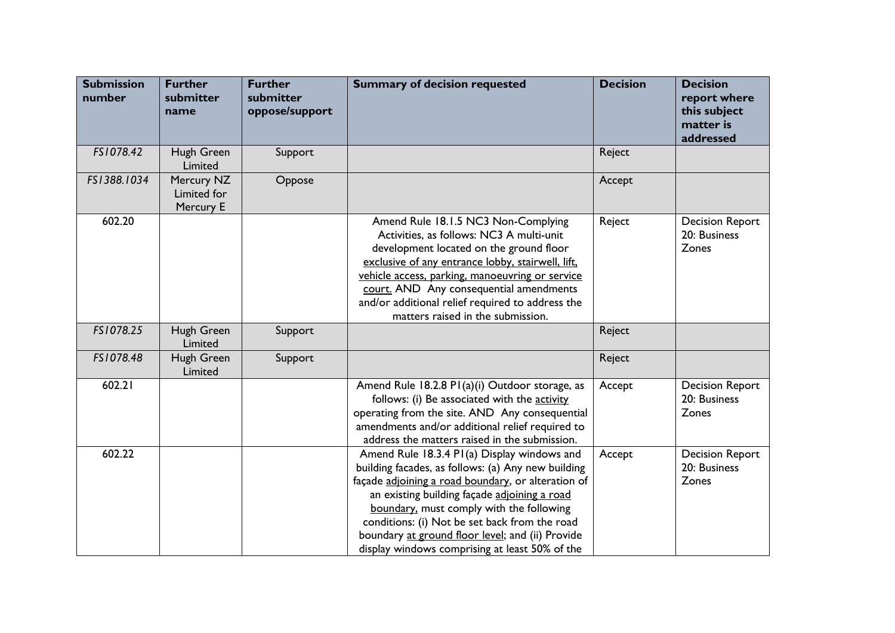| <b>Submission</b><br>number | <b>Further</b><br>submitter<br>name    | <b>Further</b><br>submitter<br>oppose/support | <b>Summary of decision requested</b>                                                                                                                                                                                                                                                                                                                                                                       | <b>Decision</b> | <b>Decision</b><br>report where<br>this subject<br>matter is<br>addressed |
|-----------------------------|----------------------------------------|-----------------------------------------------|------------------------------------------------------------------------------------------------------------------------------------------------------------------------------------------------------------------------------------------------------------------------------------------------------------------------------------------------------------------------------------------------------------|-----------------|---------------------------------------------------------------------------|
| FS1078.42                   | Hugh Green<br>Limited                  | Support                                       |                                                                                                                                                                                                                                                                                                                                                                                                            | Reject          |                                                                           |
| FS1388.1034                 | Mercury NZ<br>Limited for<br>Mercury E | Oppose                                        |                                                                                                                                                                                                                                                                                                                                                                                                            | Accept          |                                                                           |
| 602.20                      |                                        |                                               | Amend Rule 18.1.5 NC3 Non-Complying<br>Activities, as follows: NC3 A multi-unit<br>development located on the ground floor<br>exclusive of any entrance lobby, stairwell, lift,<br>vehicle access, parking, manoeuvring or service<br>court. AND Any consequential amendments<br>and/or additional relief required to address the<br>matters raised in the submission.                                     | Reject          | <b>Decision Report</b><br>20: Business<br>Zones                           |
| FS1078.25                   | Hugh Green<br>Limited                  | Support                                       |                                                                                                                                                                                                                                                                                                                                                                                                            | Reject          |                                                                           |
| FS1078.48                   | Hugh Green<br>Limited                  | Support                                       |                                                                                                                                                                                                                                                                                                                                                                                                            | Reject          |                                                                           |
| 602.21                      |                                        |                                               | Amend Rule 18.2.8 PI(a)(i) Outdoor storage, as<br>follows: (i) Be associated with the activity<br>operating from the site. AND Any consequential<br>amendments and/or additional relief required to<br>address the matters raised in the submission.                                                                                                                                                       | Accept          | <b>Decision Report</b><br>20: Business<br>Zones                           |
| 602.22                      |                                        |                                               | Amend Rule 18.3.4 P1(a) Display windows and<br>building facades, as follows: (a) Any new building<br>façade adjoining a road boundary, or alteration of<br>an existing building façade adjoining a road<br>boundary, must comply with the following<br>conditions: (i) Not be set back from the road<br>boundary at ground floor level; and (ii) Provide<br>display windows comprising at least 50% of the | Accept          | <b>Decision Report</b><br>20: Business<br>Zones                           |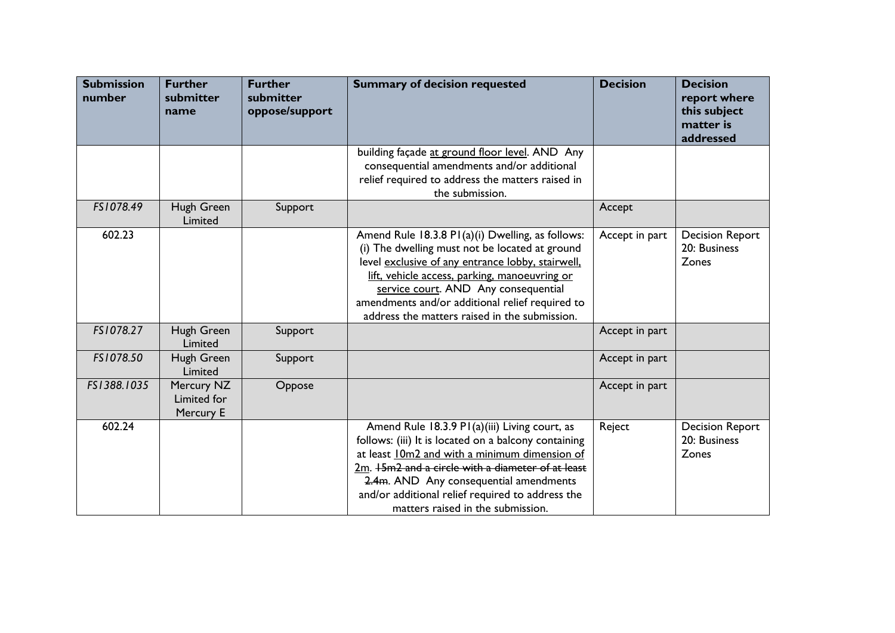| <b>Submission</b><br>number | <b>Further</b><br>submitter<br>name    | <b>Further</b><br>submitter<br>oppose/support | <b>Summary of decision requested</b>                                                                                                                                                                                                                                                                                                                 | <b>Decision</b> | <b>Decision</b><br>report where<br>this subject<br>matter is<br>addressed |
|-----------------------------|----------------------------------------|-----------------------------------------------|------------------------------------------------------------------------------------------------------------------------------------------------------------------------------------------------------------------------------------------------------------------------------------------------------------------------------------------------------|-----------------|---------------------------------------------------------------------------|
|                             |                                        |                                               | building façade at ground floor level. AND Any<br>consequential amendments and/or additional<br>relief required to address the matters raised in<br>the submission.                                                                                                                                                                                  |                 |                                                                           |
| FS1078.49                   | Hugh Green<br>Limited                  | Support                                       |                                                                                                                                                                                                                                                                                                                                                      | Accept          |                                                                           |
| 602.23                      |                                        |                                               | Amend Rule 18.3.8 PI(a)(i) Dwelling, as follows:<br>(i) The dwelling must not be located at ground<br>level exclusive of any entrance lobby, stairwell,<br>lift, vehicle access, parking, manoeuvring or<br>service court. AND Any consequential<br>amendments and/or additional relief required to<br>address the matters raised in the submission. | Accept in part  | <b>Decision Report</b><br>20: Business<br>Zones                           |
| FS1078.27                   | Hugh Green<br>Limited                  | Support                                       |                                                                                                                                                                                                                                                                                                                                                      | Accept in part  |                                                                           |
| FS1078.50                   | Hugh Green<br>Limited                  | Support                                       |                                                                                                                                                                                                                                                                                                                                                      | Accept in part  |                                                                           |
| FS1388.1035                 | Mercury NZ<br>Limited for<br>Mercury E | Oppose                                        |                                                                                                                                                                                                                                                                                                                                                      | Accept in part  |                                                                           |
| 602.24                      |                                        |                                               | Amend Rule 18.3.9 P1(a)(iii) Living court, as<br>follows: (iii) It is located on a balcony containing<br>at least 10m2 and with a minimum dimension of<br>2m. +5m2 and a circle with a diameter of at least<br>2.4m. AND Any consequential amendments<br>and/or additional relief required to address the<br>matters raised in the submission.       | Reject          | <b>Decision Report</b><br>20: Business<br>Zones                           |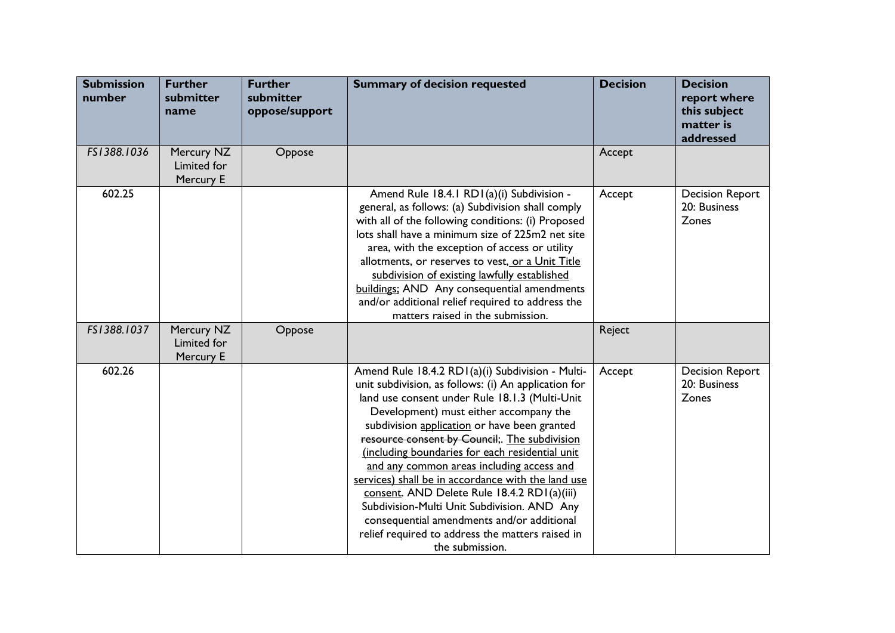| <b>Submission</b><br>number | <b>Further</b><br>submitter<br>name    | <b>Further</b><br>submitter<br>oppose/support | <b>Summary of decision requested</b>                                                                                                                                                                                                                                                                                                                                                                                                                                                                                                                                                                                                                                           | <b>Decision</b> | <b>Decision</b><br>report where<br>this subject<br>matter is<br>addressed |
|-----------------------------|----------------------------------------|-----------------------------------------------|--------------------------------------------------------------------------------------------------------------------------------------------------------------------------------------------------------------------------------------------------------------------------------------------------------------------------------------------------------------------------------------------------------------------------------------------------------------------------------------------------------------------------------------------------------------------------------------------------------------------------------------------------------------------------------|-----------------|---------------------------------------------------------------------------|
| FS1388.1036                 | Mercury NZ<br>Limited for<br>Mercury E | Oppose                                        |                                                                                                                                                                                                                                                                                                                                                                                                                                                                                                                                                                                                                                                                                | Accept          |                                                                           |
| 602.25                      |                                        |                                               | Amend Rule 18.4.1 RD1(a)(i) Subdivision -<br>general, as follows: (a) Subdivision shall comply<br>with all of the following conditions: (i) Proposed<br>lots shall have a minimum size of 225m2 net site<br>area, with the exception of access or utility<br>allotments, or reserves to vest, or a Unit Title<br>subdivision of existing lawfully established<br>buildings: AND Any consequential amendments<br>and/or additional relief required to address the<br>matters raised in the submission.                                                                                                                                                                          | Accept          | <b>Decision Report</b><br>20: Business<br>Zones                           |
| FS1388.1037                 | Mercury NZ<br>Limited for<br>Mercury E | Oppose                                        |                                                                                                                                                                                                                                                                                                                                                                                                                                                                                                                                                                                                                                                                                | Reject          |                                                                           |
| 602.26                      |                                        |                                               | Amend Rule 18.4.2 RD1(a)(i) Subdivision - Multi-<br>unit subdivision, as follows: (i) An application for<br>land use consent under Rule 18.1.3 (Multi-Unit<br>Development) must either accompany the<br>subdivision application or have been granted<br>resource consent by Council;. The subdivision<br>(including boundaries for each residential unit<br>and any common areas including access and<br>services) shall be in accordance with the land use<br>consent. AND Delete Rule 18.4.2 RD1(a)(iii)<br>Subdivision-Multi Unit Subdivision. AND Any<br>consequential amendments and/or additional<br>relief required to address the matters raised in<br>the submission. | Accept          | <b>Decision Report</b><br>20: Business<br>Zones                           |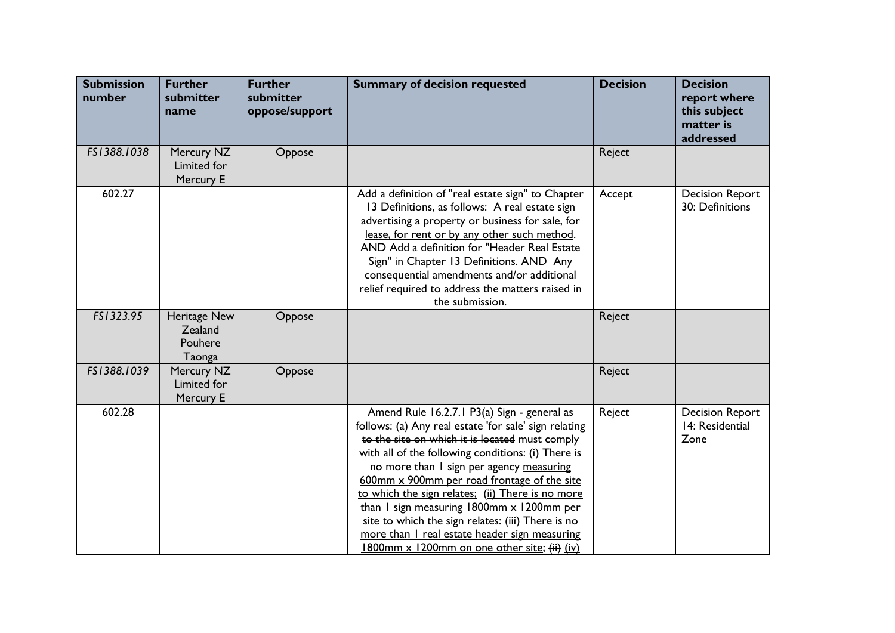| <b>Submission</b><br>number | <b>Further</b><br>submitter<br>name          | <b>Further</b><br>submitter<br>oppose/support | <b>Summary of decision requested</b>                                                                                                                                                                                                                                                                                                                                                                                                                                                                                                                           | <b>Decision</b> | <b>Decision</b><br>report where<br>this subject<br>matter is<br>addressed |
|-----------------------------|----------------------------------------------|-----------------------------------------------|----------------------------------------------------------------------------------------------------------------------------------------------------------------------------------------------------------------------------------------------------------------------------------------------------------------------------------------------------------------------------------------------------------------------------------------------------------------------------------------------------------------------------------------------------------------|-----------------|---------------------------------------------------------------------------|
| FS1388.1038                 | Mercury NZ<br>Limited for<br>Mercury E       | Oppose                                        |                                                                                                                                                                                                                                                                                                                                                                                                                                                                                                                                                                | Reject          |                                                                           |
| 602.27                      |                                              |                                               | Add a definition of "real estate sign" to Chapter<br>13 Definitions, as follows: A real estate sign<br>advertising a property or business for sale, for<br>lease, for rent or by any other such method.<br>AND Add a definition for "Header Real Estate<br>Sign" in Chapter 13 Definitions. AND Any<br>consequential amendments and/or additional<br>relief required to address the matters raised in<br>the submission.                                                                                                                                       | Accept          | <b>Decision Report</b><br>30: Definitions                                 |
| FS1323.95                   | Heritage New<br>Zealand<br>Pouhere<br>Taonga | Oppose                                        |                                                                                                                                                                                                                                                                                                                                                                                                                                                                                                                                                                | Reject          |                                                                           |
| FS1388.1039                 | Mercury NZ<br>Limited for<br>Mercury E       | Oppose                                        |                                                                                                                                                                                                                                                                                                                                                                                                                                                                                                                                                                | Reject          |                                                                           |
| 602.28                      |                                              |                                               | Amend Rule 16.2.7.1 P3(a) Sign - general as<br>follows: (a) Any real estate 'for sale' sign relating<br>to the site on which it is located must comply<br>with all of the following conditions: (i) There is<br>no more than I sign per agency measuring<br>600mm x 900mm per road frontage of the site<br>to which the sign relates: (ii) There is no more<br>than I sign measuring 1800mm x 1200mm per<br>site to which the sign relates: (iii) There is no<br>more than I real estate header sign measuring<br>1800mm x 1200mm on one other site; (ii) (iv) | Reject          | <b>Decision Report</b><br>14: Residential<br>Zone                         |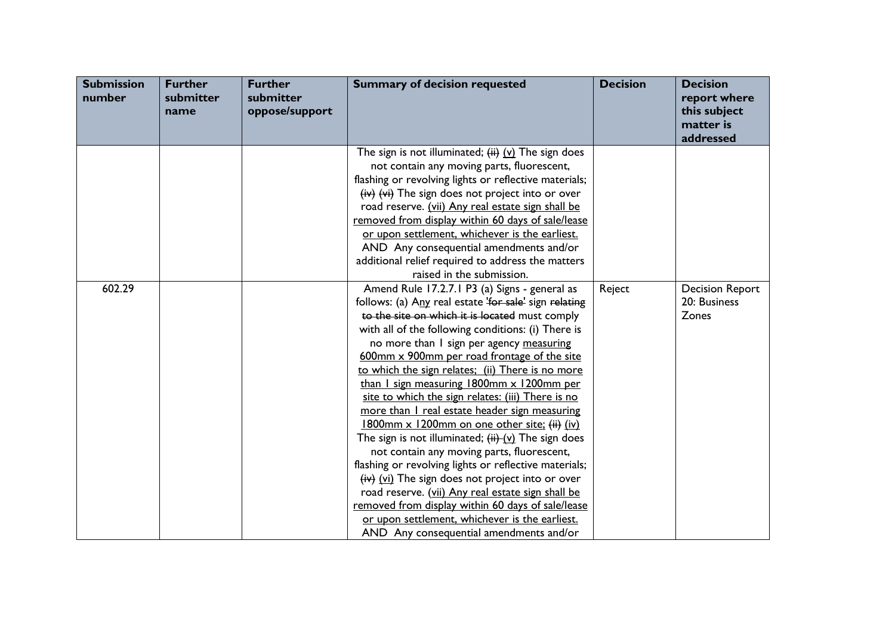| <b>Submission</b><br>number | <b>Further</b><br>submitter<br>name | <b>Further</b><br>submitter<br>oppose/support | <b>Summary of decision requested</b>                                                                                                                                                                                                                                                                                                                                                                                                                                                                                                                                                                                                                                                                                                                                                                                                                                                                                                                                                                                                    | <b>Decision</b> | <b>Decision</b><br>report where<br>this subject<br>matter is<br>addressed |
|-----------------------------|-------------------------------------|-----------------------------------------------|-----------------------------------------------------------------------------------------------------------------------------------------------------------------------------------------------------------------------------------------------------------------------------------------------------------------------------------------------------------------------------------------------------------------------------------------------------------------------------------------------------------------------------------------------------------------------------------------------------------------------------------------------------------------------------------------------------------------------------------------------------------------------------------------------------------------------------------------------------------------------------------------------------------------------------------------------------------------------------------------------------------------------------------------|-----------------|---------------------------------------------------------------------------|
|                             |                                     |                                               | The sign is not illuminated; $(i)$ $(i)$ The sign does<br>not contain any moving parts, fluorescent,<br>flashing or revolving lights or reflective materials;<br>$(iv)$ $(vi)$ The sign does not project into or over<br>road reserve. (vii) Any real estate sign shall be<br>removed from display within 60 days of sale/lease<br>or upon settlement, whichever is the earliest.<br>AND Any consequential amendments and/or<br>additional relief required to address the matters                                                                                                                                                                                                                                                                                                                                                                                                                                                                                                                                                       |                 |                                                                           |
| 602.29                      |                                     |                                               | raised in the submission.<br>Amend Rule 17.2.7.1 P3 (a) Signs - general as<br>follows: (a) Any real estate 'for sale' sign relating<br>to the site on which it is located must comply<br>with all of the following conditions: (i) There is<br>no more than I sign per agency measuring<br>600mm x 900mm per road frontage of the site<br>to which the sign relates; (ii) There is no more<br>than $\frac{1}{2}$ sign measuring 1800mm x 1200mm per<br>site to which the sign relates: (iii) There is no<br>more than I real estate header sign measuring<br>1800mm x 1200mm on one other site; (ii) (iv)<br>The sign is not illuminated; $(i)$ $(i)$ The sign does<br>not contain any moving parts, fluorescent,<br>flashing or revolving lights or reflective materials;<br>$(iv)$ (vi) The sign does not project into or over<br>road reserve. (vii) Any real estate sign shall be<br>removed from display within 60 days of sale/lease<br>or upon settlement, whichever is the earliest.<br>AND Any consequential amendments and/or | Reject          | <b>Decision Report</b><br>20: Business<br>Zones                           |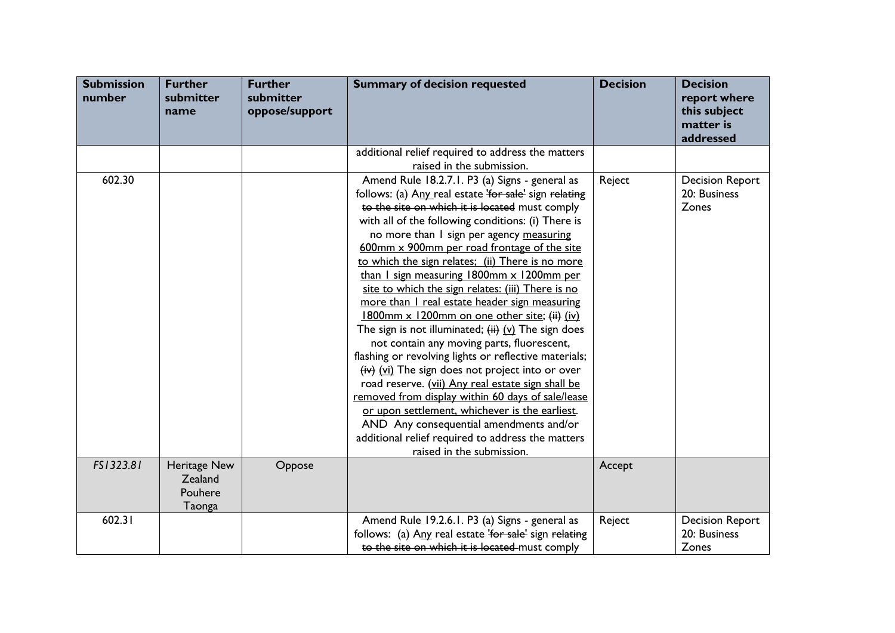| <b>Submission</b><br>number | <b>Further</b><br>submitter<br>name          | <b>Further</b><br>submitter<br>oppose/support | <b>Summary of decision requested</b>                                                                                                                                                                                                                                                                                                                                                                                                                                                                                                                                                                                                                                                                                                                                                                                                                                                                                                                                                                                                                                              | <b>Decision</b> | <b>Decision</b><br>report where<br>this subject<br>matter is<br>addressed |
|-----------------------------|----------------------------------------------|-----------------------------------------------|-----------------------------------------------------------------------------------------------------------------------------------------------------------------------------------------------------------------------------------------------------------------------------------------------------------------------------------------------------------------------------------------------------------------------------------------------------------------------------------------------------------------------------------------------------------------------------------------------------------------------------------------------------------------------------------------------------------------------------------------------------------------------------------------------------------------------------------------------------------------------------------------------------------------------------------------------------------------------------------------------------------------------------------------------------------------------------------|-----------------|---------------------------------------------------------------------------|
|                             |                                              |                                               | additional relief required to address the matters<br>raised in the submission.                                                                                                                                                                                                                                                                                                                                                                                                                                                                                                                                                                                                                                                                                                                                                                                                                                                                                                                                                                                                    |                 |                                                                           |
| 602.30                      |                                              |                                               | Amend Rule 18.2.7.1. P3 (a) Signs - general as<br>follows: (a) Any real estate 'for sale' sign relating<br>to the site on which it is located must comply<br>with all of the following conditions: (i) There is<br>no more than I sign per agency measuring<br>600mm x 900mm per road frontage of the site<br>to which the sign relates; (ii) There is no more<br>than I sign measuring 1800mm x 1200mm per<br>site to which the sign relates: (iii) There is no<br>more than I real estate header sign measuring<br>1800mm x 1200mm on one other site; (ii) (iv)<br>The sign is not illuminated; $(i)$ $(i)$ The sign does<br>not contain any moving parts, fluorescent,<br>flashing or revolving lights or reflective materials;<br>$(iv)$ (vi) The sign does not project into or over<br>road reserve. (vii) Any real estate sign shall be<br>removed from display within 60 days of sale/lease<br>or upon settlement, whichever is the earliest.<br>AND Any consequential amendments and/or<br>additional relief required to address the matters<br>raised in the submission. | Reject          | <b>Decision Report</b><br>20: Business<br><b>Zones</b>                    |
| FS1323.81                   | Heritage New<br>Zealand<br>Pouhere<br>Taonga | Oppose                                        |                                                                                                                                                                                                                                                                                                                                                                                                                                                                                                                                                                                                                                                                                                                                                                                                                                                                                                                                                                                                                                                                                   | Accept          |                                                                           |
| 602.31                      |                                              |                                               | Amend Rule 19.2.6.1. P3 (a) Signs - general as<br>follows: (a) Any real estate 'for sale' sign relating<br>to the site on which it is located must comply                                                                                                                                                                                                                                                                                                                                                                                                                                                                                                                                                                                                                                                                                                                                                                                                                                                                                                                         | Reject          | <b>Decision Report</b><br>20: Business<br>Zones                           |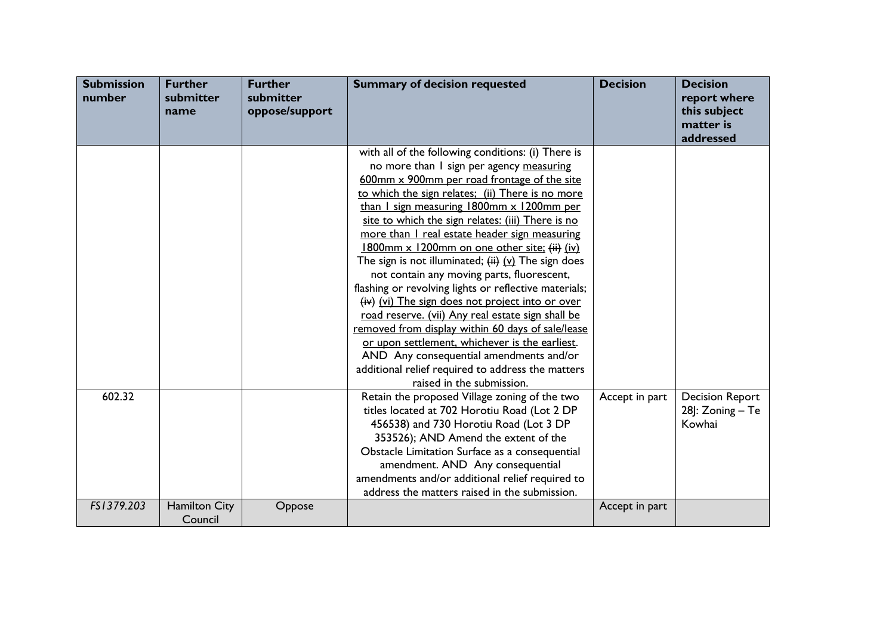| <b>Submission</b><br>number | <b>Further</b><br>submitter<br>name | <b>Further</b><br>submitter<br>oppose/support | <b>Summary of decision requested</b>                                                                                                                                                                                                                                                                                                                                                                                                                                                                                                                                                                                                                                                                                                                                                                                                                                                                               | <b>Decision</b> | <b>Decision</b><br>report where<br>this subject<br>matter is<br>addressed |
|-----------------------------|-------------------------------------|-----------------------------------------------|--------------------------------------------------------------------------------------------------------------------------------------------------------------------------------------------------------------------------------------------------------------------------------------------------------------------------------------------------------------------------------------------------------------------------------------------------------------------------------------------------------------------------------------------------------------------------------------------------------------------------------------------------------------------------------------------------------------------------------------------------------------------------------------------------------------------------------------------------------------------------------------------------------------------|-----------------|---------------------------------------------------------------------------|
|                             |                                     |                                               | with all of the following conditions: (i) There is<br>no more than I sign per agency measuring<br>600mm x 900mm per road frontage of the site<br>to which the sign relates; (ii) There is no more<br>than I sign measuring 1800mm x 1200mm per<br>site to which the sign relates: (iii) There is no<br>more than I real estate header sign measuring<br>1800mm x 1200mm on one other site; (ii) (iv)<br>The sign is not illuminated; $(i)$ $(i)$ The sign does<br>not contain any moving parts, fluorescent,<br>flashing or revolving lights or reflective materials;<br>(iv) (vi) The sign does not project into or over<br>road reserve. (vii) Any real estate sign shall be<br>removed from display within 60 days of sale/lease<br>or upon settlement, whichever is the earliest.<br>AND Any consequential amendments and/or<br>additional relief required to address the matters<br>raised in the submission. |                 |                                                                           |
| 602.32                      |                                     |                                               | Retain the proposed Village zoning of the two<br>titles located at 702 Horotiu Road (Lot 2 DP<br>456538) and 730 Horotiu Road (Lot 3 DP<br>353526); AND Amend the extent of the<br>Obstacle Limitation Surface as a consequential<br>amendment. AND Any consequential<br>amendments and/or additional relief required to<br>address the matters raised in the submission.                                                                                                                                                                                                                                                                                                                                                                                                                                                                                                                                          | Accept in part  | <b>Decision Report</b><br>28]: Zoning - Te<br>Kowhai                      |
| FS1379.203                  | <b>Hamilton City</b><br>Council     | Oppose                                        |                                                                                                                                                                                                                                                                                                                                                                                                                                                                                                                                                                                                                                                                                                                                                                                                                                                                                                                    | Accept in part  |                                                                           |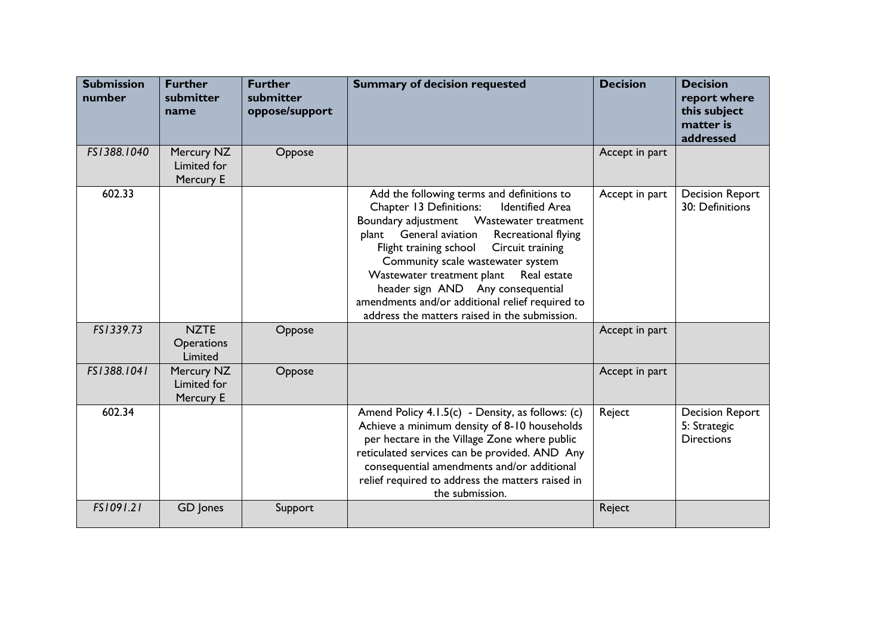| <b>Submission</b><br>number | <b>Further</b><br>submitter<br>name         | <b>Further</b><br>submitter<br>oppose/support | <b>Summary of decision requested</b>                                                                                                                                                                                                                                                                                                                                                                                                                                        | <b>Decision</b> | <b>Decision</b><br>report where<br>this subject<br>matter is<br>addressed |
|-----------------------------|---------------------------------------------|-----------------------------------------------|-----------------------------------------------------------------------------------------------------------------------------------------------------------------------------------------------------------------------------------------------------------------------------------------------------------------------------------------------------------------------------------------------------------------------------------------------------------------------------|-----------------|---------------------------------------------------------------------------|
| FS1388.1040                 | Mercury NZ<br>Limited for<br>Mercury E      | Oppose                                        |                                                                                                                                                                                                                                                                                                                                                                                                                                                                             | Accept in part  |                                                                           |
| 602.33                      |                                             |                                               | Add the following terms and definitions to<br><b>Identified Area</b><br>Chapter 13 Definitions:<br>Wastewater treatment<br>Boundary adjustment<br>General aviation<br>Recreational flying<br>plant<br>Flight training school<br>Circuit training<br>Community scale wastewater system<br>Wastewater treatment plant<br>Real estate<br>header sign AND Any consequential<br>amendments and/or additional relief required to<br>address the matters raised in the submission. | Accept in part  | <b>Decision Report</b><br>30: Definitions                                 |
| FS1339.73                   | <b>NZTE</b><br><b>Operations</b><br>Limited | Oppose                                        |                                                                                                                                                                                                                                                                                                                                                                                                                                                                             | Accept in part  |                                                                           |
| FS1388.1041                 | Mercury NZ<br>Limited for<br>Mercury E      | Oppose                                        |                                                                                                                                                                                                                                                                                                                                                                                                                                                                             | Accept in part  |                                                                           |
| 602.34                      |                                             |                                               | Amend Policy 4.1.5(c) - Density, as follows: (c)<br>Achieve a minimum density of 8-10 households<br>per hectare in the Village Zone where public<br>reticulated services can be provided. AND Any<br>consequential amendments and/or additional<br>relief required to address the matters raised in<br>the submission.                                                                                                                                                      | Reject          | <b>Decision Report</b><br>5: Strategic<br><b>Directions</b>               |
| FS1091.21                   | GD Jones                                    | Support                                       |                                                                                                                                                                                                                                                                                                                                                                                                                                                                             | Reject          |                                                                           |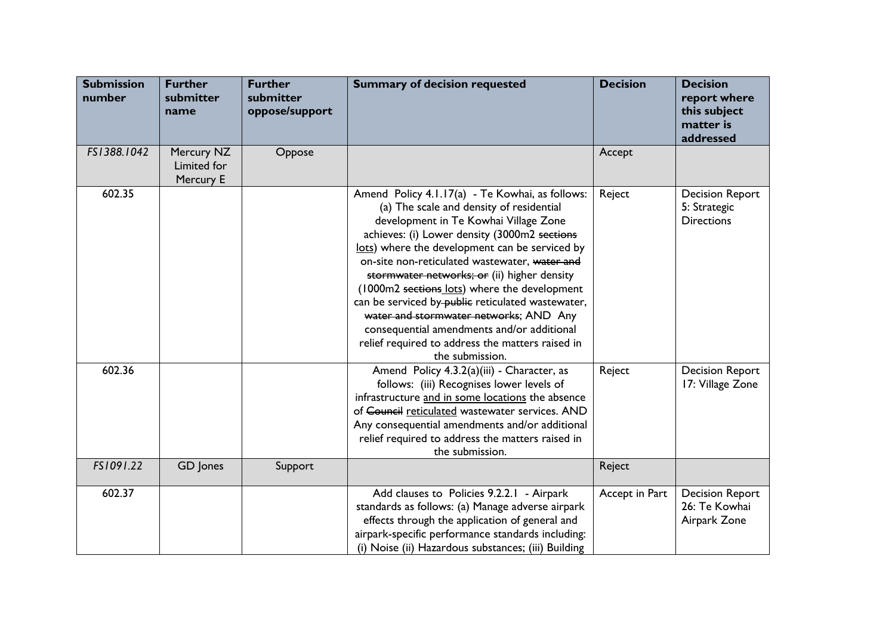| <b>Submission</b><br>number | <b>Further</b><br>submitter<br>name    | <b>Further</b><br>submitter<br>oppose/support | <b>Summary of decision requested</b>                                                                                                                                                                                                                                                                                                                                                                                                                                                                                                                                                                       | <b>Decision</b> | <b>Decision</b><br>report where<br>this subject<br>matter is<br>addressed |
|-----------------------------|----------------------------------------|-----------------------------------------------|------------------------------------------------------------------------------------------------------------------------------------------------------------------------------------------------------------------------------------------------------------------------------------------------------------------------------------------------------------------------------------------------------------------------------------------------------------------------------------------------------------------------------------------------------------------------------------------------------------|-----------------|---------------------------------------------------------------------------|
| FS1388.1042                 | Mercury NZ<br>Limited for<br>Mercury E | Oppose                                        |                                                                                                                                                                                                                                                                                                                                                                                                                                                                                                                                                                                                            | Accept          |                                                                           |
| 602.35                      |                                        |                                               | Amend Policy 4.1.17(a) - Te Kowhai, as follows:<br>(a) The scale and density of residential<br>development in Te Kowhai Village Zone<br>achieves: (i) Lower density (3000m2 sections<br>lots) where the development can be serviced by<br>on-site non-reticulated wastewater, water and<br>stormwater networks; or (ii) higher density<br>(1000m2 sections lots) where the development<br>can be serviced by-public reticulated wastewater,<br>water and stormwater networks; AND Any<br>consequential amendments and/or additional<br>relief required to address the matters raised in<br>the submission. | Reject          | <b>Decision Report</b><br>5: Strategic<br><b>Directions</b>               |
| 602.36                      |                                        |                                               | Amend Policy 4.3.2(a)(iii) - Character, as<br>follows: (iii) Recognises lower levels of<br>infrastructure and in some locations the absence<br>of Council reticulated wastewater services. AND<br>Any consequential amendments and/or additional<br>relief required to address the matters raised in<br>the submission.                                                                                                                                                                                                                                                                                    | Reject          | <b>Decision Report</b><br>17: Village Zone                                |
| FS1091.22                   | GD Jones                               | Support                                       |                                                                                                                                                                                                                                                                                                                                                                                                                                                                                                                                                                                                            | Reject          |                                                                           |
| 602.37                      |                                        |                                               | Add clauses to Policies 9.2.2.1 - Airpark<br>standards as follows: (a) Manage adverse airpark<br>effects through the application of general and<br>airpark-specific performance standards including:<br>(i) Noise (ii) Hazardous substances; (iii) Building                                                                                                                                                                                                                                                                                                                                                | Accept in Part  | <b>Decision Report</b><br>26: Te Kowhai<br>Airpark Zone                   |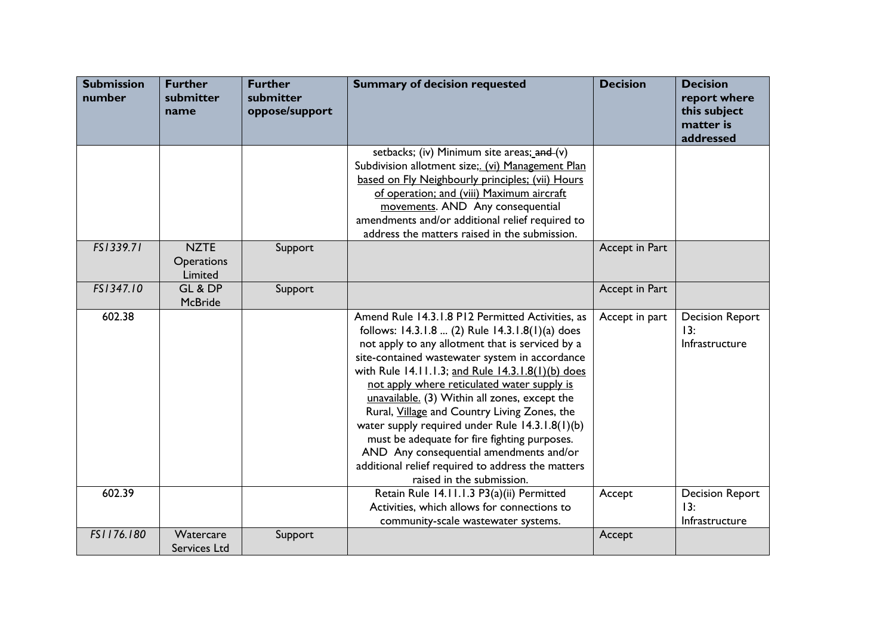| <b>Submission</b><br>number | <b>Further</b><br>submitter<br>name  | <b>Further</b><br>submitter<br>oppose/support | <b>Summary of decision requested</b>                                                                                                                                                                                                                                                                                                                                                                                                                                                                                                                                                                                                           | <b>Decision</b> | <b>Decision</b><br>report where<br>this subject<br>matter is<br>addressed |
|-----------------------------|--------------------------------------|-----------------------------------------------|------------------------------------------------------------------------------------------------------------------------------------------------------------------------------------------------------------------------------------------------------------------------------------------------------------------------------------------------------------------------------------------------------------------------------------------------------------------------------------------------------------------------------------------------------------------------------------------------------------------------------------------------|-----------------|---------------------------------------------------------------------------|
|                             |                                      |                                               | setbacks; (iv) Minimum site areas; and (v)<br>Subdivision allotment size;. (vi) Management Plan<br>based on Fly Neighbourly principles; (vii) Hours<br>of operation; and (viii) Maximum aircraft<br>movements. AND Any consequential<br>amendments and/or additional relief required to<br>address the matters raised in the submission.                                                                                                                                                                                                                                                                                                       |                 |                                                                           |
| FS1339.71                   | <b>NZTE</b><br>Operations<br>Limited | Support                                       |                                                                                                                                                                                                                                                                                                                                                                                                                                                                                                                                                                                                                                                | Accept in Part  |                                                                           |
| FS1347.10                   | GL & DP<br><b>McBride</b>            | Support                                       |                                                                                                                                                                                                                                                                                                                                                                                                                                                                                                                                                                                                                                                | Accept in Part  |                                                                           |
| 602.38                      |                                      |                                               | Amend Rule 14.3.1.8 P12 Permitted Activities, as<br>follows: 14.3.1.8  (2) Rule 14.3.1.8(1)(a) does<br>not apply to any allotment that is serviced by a<br>site-contained wastewater system in accordance<br>with Rule 14.11.1.3; and Rule 14.3.1.8(1)(b) does<br>not apply where reticulated water supply is<br>unavailable. (3) Within all zones, except the<br>Rural, Village and Country Living Zones, the<br>water supply required under Rule 14.3.1.8(1)(b)<br>must be adequate for fire fighting purposes.<br>AND Any consequential amendments and/or<br>additional relief required to address the matters<br>raised in the submission. | Accept in part  | <b>Decision Report</b><br>13:<br>Infrastructure                           |
| 602.39                      |                                      |                                               | Retain Rule 14.11.1.3 P3(a)(ii) Permitted<br>Activities, which allows for connections to<br>community-scale wastewater systems.                                                                                                                                                                                                                                                                                                                                                                                                                                                                                                                | Accept          | <b>Decision Report</b><br>13:<br>Infrastructure                           |
| FS1176.180                  | Watercare<br>Services Ltd            | Support                                       |                                                                                                                                                                                                                                                                                                                                                                                                                                                                                                                                                                                                                                                | Accept          |                                                                           |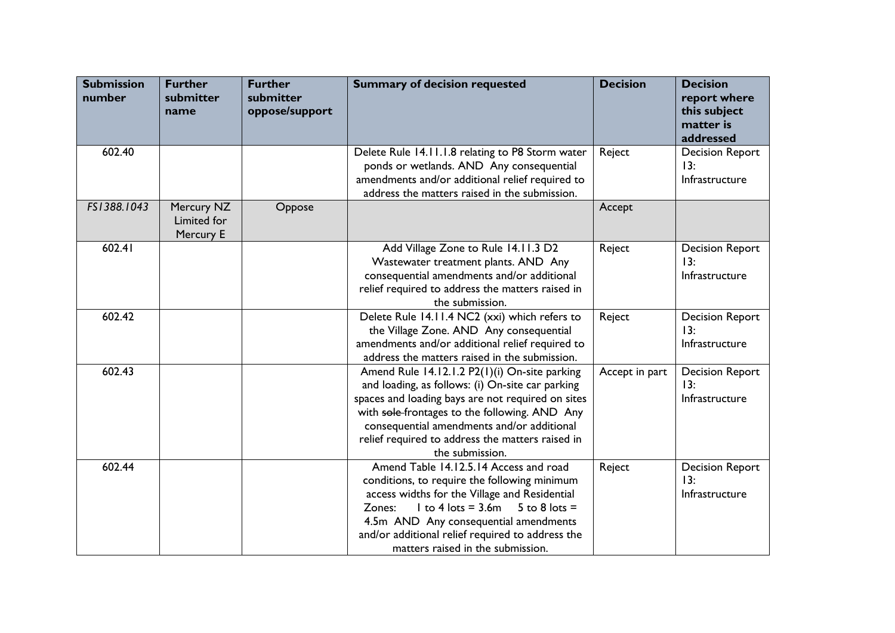| <b>Submission</b><br>number | <b>Further</b><br>submitter<br>name    | <b>Further</b><br>submitter<br>oppose/support | <b>Summary of decision requested</b>                                                                                                                                                                                                                                                                                         | <b>Decision</b> | <b>Decision</b><br>report where<br>this subject<br>matter is<br>addressed |
|-----------------------------|----------------------------------------|-----------------------------------------------|------------------------------------------------------------------------------------------------------------------------------------------------------------------------------------------------------------------------------------------------------------------------------------------------------------------------------|-----------------|---------------------------------------------------------------------------|
| 602.40                      |                                        |                                               | Delete Rule 14.11.1.8 relating to P8 Storm water<br>ponds or wetlands. AND Any consequential<br>amendments and/or additional relief required to<br>address the matters raised in the submission.                                                                                                                             | Reject          | <b>Decision Report</b><br>13:<br>Infrastructure                           |
| FS1388.1043                 | Mercury NZ<br>Limited for<br>Mercury E | Oppose                                        |                                                                                                                                                                                                                                                                                                                              | Accept          |                                                                           |
| 602.41                      |                                        |                                               | Add Village Zone to Rule 14.11.3 D2<br>Wastewater treatment plants. AND Any<br>consequential amendments and/or additional<br>relief required to address the matters raised in<br>the submission.                                                                                                                             | Reject          | <b>Decision Report</b><br>13:<br>Infrastructure                           |
| 602.42                      |                                        |                                               | Delete Rule 14.11.4 NC2 (xxi) which refers to<br>the Village Zone. AND Any consequential<br>amendments and/or additional relief required to<br>address the matters raised in the submission.                                                                                                                                 | Reject          | <b>Decision Report</b><br>13:<br>Infrastructure                           |
| 602.43                      |                                        |                                               | Amend Rule 14.12.1.2 P2(1)(i) On-site parking<br>and loading, as follows: (i) On-site car parking<br>spaces and loading bays are not required on sites<br>with sole-frontages to the following. AND Any<br>consequential amendments and/or additional<br>relief required to address the matters raised in<br>the submission. | Accept in part  | <b>Decision Report</b><br>13:<br>Infrastructure                           |
| 602.44                      |                                        |                                               | Amend Table 14.12.5.14 Access and road<br>conditions, to require the following minimum<br>access widths for the Village and Residential<br>$1$ to 4 lots = 3.6m $5$ to 8 lots =<br>Zones:<br>4.5m AND Any consequential amendments<br>and/or additional relief required to address the<br>matters raised in the submission.  | Reject          | <b>Decision Report</b><br>13:<br>Infrastructure                           |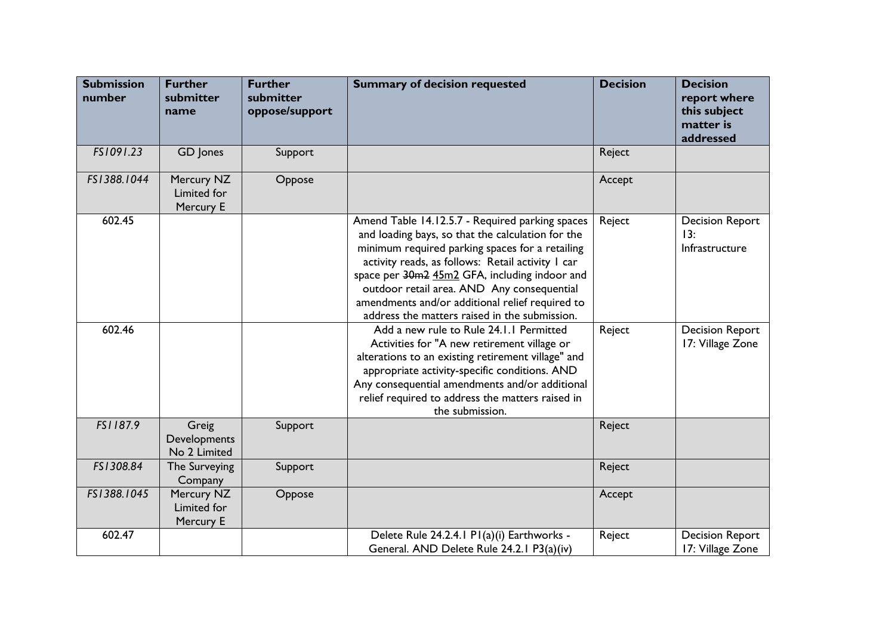| <b>Submission</b><br>number | <b>Further</b><br>submitter<br>name           | <b>Further</b><br>submitter<br>oppose/support | <b>Summary of decision requested</b>                                                                                                                                                                                                                                                                                                                                                                            | <b>Decision</b> | <b>Decision</b><br>report where<br>this subject<br>matter is<br>addressed |
|-----------------------------|-----------------------------------------------|-----------------------------------------------|-----------------------------------------------------------------------------------------------------------------------------------------------------------------------------------------------------------------------------------------------------------------------------------------------------------------------------------------------------------------------------------------------------------------|-----------------|---------------------------------------------------------------------------|
| FS1091.23                   | GD Jones                                      | Support                                       |                                                                                                                                                                                                                                                                                                                                                                                                                 | Reject          |                                                                           |
| FS1388.1044                 | Mercury NZ<br><b>Limited for</b><br>Mercury E | Oppose                                        |                                                                                                                                                                                                                                                                                                                                                                                                                 | Accept          |                                                                           |
| 602.45                      |                                               |                                               | Amend Table 14.12.5.7 - Required parking spaces<br>and loading bays, so that the calculation for the<br>minimum required parking spaces for a retailing<br>activity reads, as follows: Retail activity I car<br>space per 30m2 45m2 GFA, including indoor and<br>outdoor retail area. AND Any consequential<br>amendments and/or additional relief required to<br>address the matters raised in the submission. | Reject          | <b>Decision Report</b><br>13:<br>Infrastructure                           |
| 602.46                      |                                               |                                               | Add a new rule to Rule 24.1.1 Permitted<br>Activities for "A new retirement village or<br>alterations to an existing retirement village" and<br>appropriate activity-specific conditions. AND<br>Any consequential amendments and/or additional<br>relief required to address the matters raised in<br>the submission.                                                                                          | Reject          | <b>Decision Report</b><br>17: Village Zone                                |
| FS1187.9                    | Greig<br>Developments<br>No 2 Limited         | Support                                       |                                                                                                                                                                                                                                                                                                                                                                                                                 | Reject          |                                                                           |
| FS1308.84                   | The Surveying<br>Company                      | Support                                       |                                                                                                                                                                                                                                                                                                                                                                                                                 | Reject          |                                                                           |
| FS1388.1045                 | Mercury NZ<br>Limited for<br>Mercury E        | Oppose                                        |                                                                                                                                                                                                                                                                                                                                                                                                                 | Accept          |                                                                           |
| 602.47                      |                                               |                                               | Delete Rule 24.2.4.1 P1(a)(i) Earthworks -<br>General. AND Delete Rule 24.2.1 P3(a)(iv)                                                                                                                                                                                                                                                                                                                         | Reject          | <b>Decision Report</b><br>17: Village Zone                                |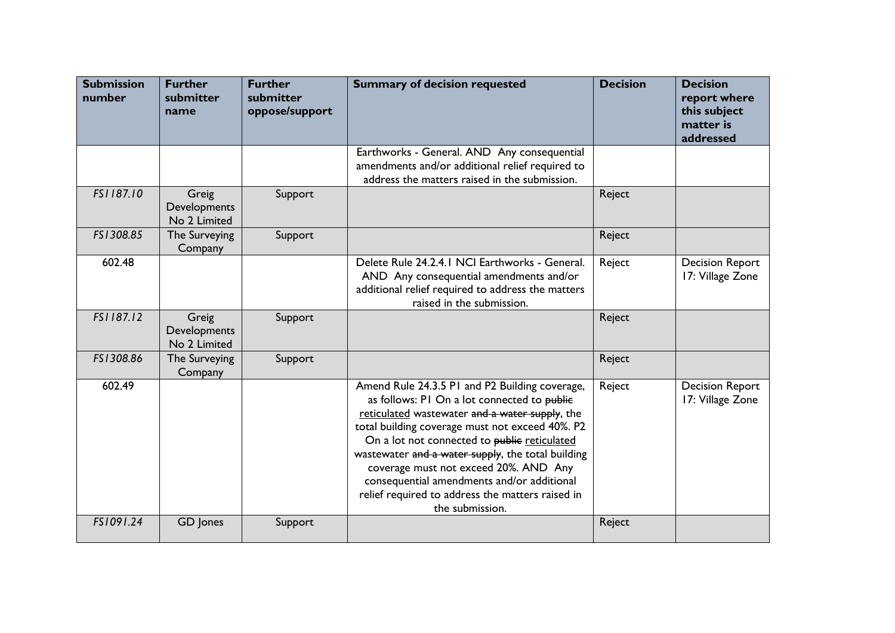| <b>Submission</b><br>number | <b>Further</b><br>submitter<br>name   | <b>Further</b><br>submitter<br>oppose/support | <b>Summary of decision requested</b>                                                                                                                                                                                                                                                                                                                                                                                                                                  | <b>Decision</b> | <b>Decision</b><br>report where<br>this subject<br>matter is<br>addressed |
|-----------------------------|---------------------------------------|-----------------------------------------------|-----------------------------------------------------------------------------------------------------------------------------------------------------------------------------------------------------------------------------------------------------------------------------------------------------------------------------------------------------------------------------------------------------------------------------------------------------------------------|-----------------|---------------------------------------------------------------------------|
|                             |                                       |                                               | Earthworks - General. AND Any consequential<br>amendments and/or additional relief required to<br>address the matters raised in the submission.                                                                                                                                                                                                                                                                                                                       |                 |                                                                           |
| FS1187.10                   | Greig<br>Developments<br>No 2 Limited | Support                                       |                                                                                                                                                                                                                                                                                                                                                                                                                                                                       | Reject          |                                                                           |
| FS1308.85                   | The Surveying<br>Company              | Support                                       |                                                                                                                                                                                                                                                                                                                                                                                                                                                                       | Reject          |                                                                           |
| 602.48                      |                                       |                                               | Delete Rule 24.2.4.1 NCI Earthworks - General.<br>AND Any consequential amendments and/or<br>additional relief required to address the matters<br>raised in the submission.                                                                                                                                                                                                                                                                                           | Reject          | <b>Decision Report</b><br>17: Village Zone                                |
| FS1187.12                   | Greig<br>Developments<br>No 2 Limited | Support                                       |                                                                                                                                                                                                                                                                                                                                                                                                                                                                       | Reject          |                                                                           |
| FS1308.86                   | The Surveying<br>Company              | Support                                       |                                                                                                                                                                                                                                                                                                                                                                                                                                                                       | Reject          |                                                                           |
| 602.49                      |                                       |                                               | Amend Rule 24.3.5 P1 and P2 Building coverage,<br>as follows: PI On a lot connected to public<br>reticulated wastewater and a water supply, the<br>total building coverage must not exceed 40%. P2<br>On a lot not connected to public reticulated<br>wastewater and a water supply, the total building<br>coverage must not exceed 20%. AND Any<br>consequential amendments and/or additional<br>relief required to address the matters raised in<br>the submission. | Reject          | <b>Decision Report</b><br>17: Village Zone                                |
| FS1091.24                   | GD Jones                              | Support                                       |                                                                                                                                                                                                                                                                                                                                                                                                                                                                       | Reject          |                                                                           |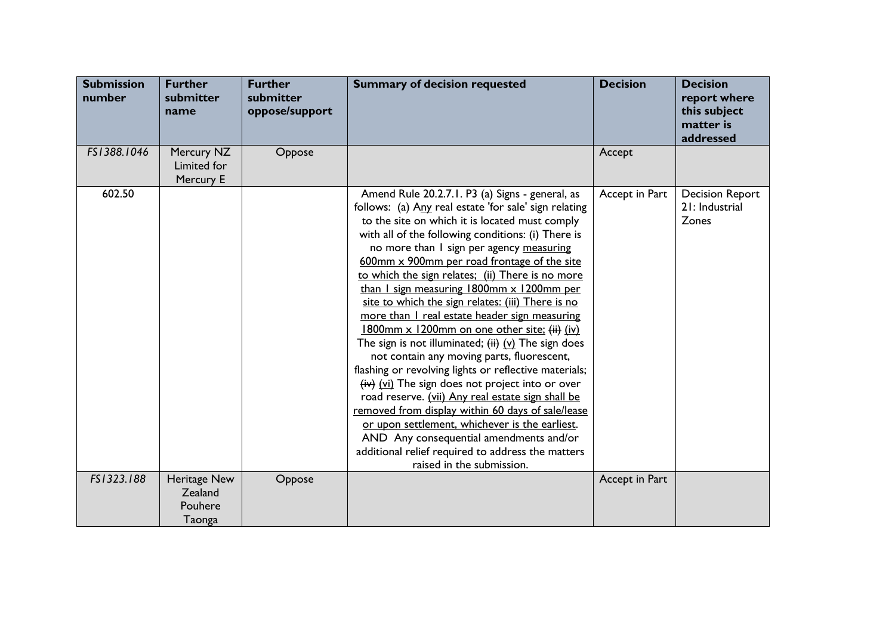| <b>Submission</b><br>number | <b>Further</b><br>submitter<br>name          | <b>Further</b><br>submitter<br>oppose/support | <b>Summary of decision requested</b>                                                                                                                                                                                                                                                                                                                                                                                                                                                                                                                                                                                                                                                                                                                                                                                                                                                                                                                                                                                                                                               | <b>Decision</b> | <b>Decision</b><br>report where<br>this subject<br>matter is<br>addressed |
|-----------------------------|----------------------------------------------|-----------------------------------------------|------------------------------------------------------------------------------------------------------------------------------------------------------------------------------------------------------------------------------------------------------------------------------------------------------------------------------------------------------------------------------------------------------------------------------------------------------------------------------------------------------------------------------------------------------------------------------------------------------------------------------------------------------------------------------------------------------------------------------------------------------------------------------------------------------------------------------------------------------------------------------------------------------------------------------------------------------------------------------------------------------------------------------------------------------------------------------------|-----------------|---------------------------------------------------------------------------|
| FS1388.1046                 | Mercury NZ<br>Limited for<br>Mercury E       | Oppose                                        |                                                                                                                                                                                                                                                                                                                                                                                                                                                                                                                                                                                                                                                                                                                                                                                                                                                                                                                                                                                                                                                                                    | Accept          |                                                                           |
| 602.50                      |                                              |                                               | Amend Rule 20.2.7.1. P3 (a) Signs - general, as<br>follows: (a) Any real estate 'for sale' sign relating<br>to the site on which it is located must comply<br>with all of the following conditions: (i) There is<br>no more than I sign per agency measuring<br>600mm x 900mm per road frontage of the site<br>to which the sign relates; (ii) There is no more<br>than I sign measuring 1800mm x 1200mm per<br>site to which the sign relates: (iii) There is no<br>more than I real estate header sign measuring<br>1800mm x 1200mm on one other site; (ii) (iv)<br>The sign is not illuminated; $(i)$ $(i)$ The sign does<br>not contain any moving parts, fluorescent,<br>flashing or revolving lights or reflective materials;<br>$(iv)$ (vi) The sign does not project into or over<br>road reserve. (vii) Any real estate sign shall be<br>removed from display within 60 days of sale/lease<br>or upon settlement, whichever is the earliest.<br>AND Any consequential amendments and/or<br>additional relief required to address the matters<br>raised in the submission. | Accept in Part  | <b>Decision Report</b><br>21: Industrial<br>Zones                         |
| FS1323.188                  | Heritage New<br>Zealand<br>Pouhere<br>Taonga | Oppose                                        |                                                                                                                                                                                                                                                                                                                                                                                                                                                                                                                                                                                                                                                                                                                                                                                                                                                                                                                                                                                                                                                                                    | Accept in Part  |                                                                           |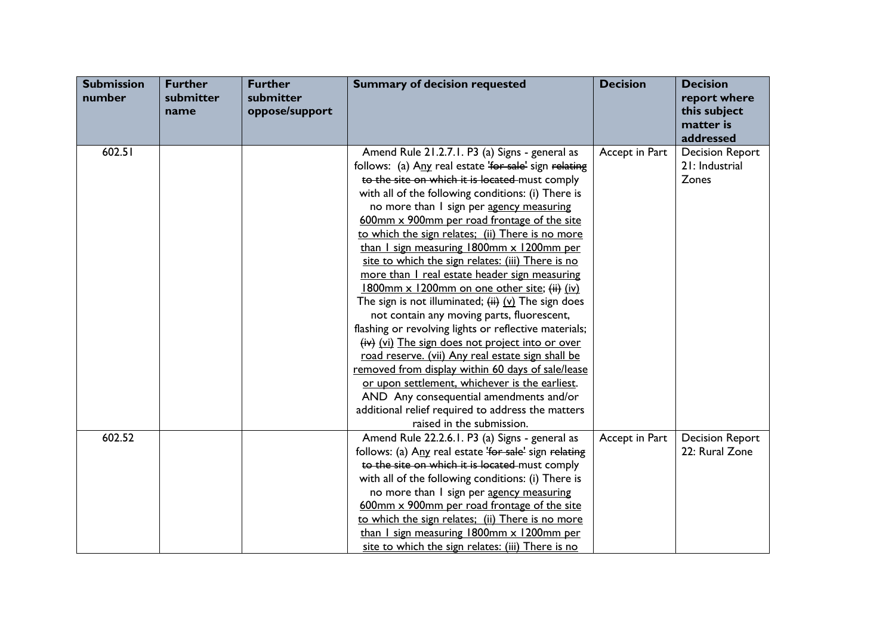| <b>Submission</b><br>number | <b>Further</b><br>submitter<br>name | <b>Further</b><br>submitter<br>oppose/support | <b>Summary of decision requested</b>                  | <b>Decision</b> | <b>Decision</b><br>report where<br>this subject<br>matter is |
|-----------------------------|-------------------------------------|-----------------------------------------------|-------------------------------------------------------|-----------------|--------------------------------------------------------------|
|                             |                                     |                                               |                                                       |                 | addressed                                                    |
| 602.51                      |                                     |                                               | Amend Rule 21.2.7.1. P3 (a) Signs - general as        | Accept in Part  | <b>Decision Report</b>                                       |
|                             |                                     |                                               | follows: (a) Any real estate 'for sale' sign relating |                 | 21: Industrial                                               |
|                             |                                     |                                               | to the site on which it is located must comply        |                 | Zones                                                        |
|                             |                                     |                                               | with all of the following conditions: (i) There is    |                 |                                                              |
|                             |                                     |                                               | no more than I sign per agency measuring              |                 |                                                              |
|                             |                                     |                                               | 600mm x 900mm per road frontage of the site           |                 |                                                              |
|                             |                                     |                                               | to which the sign relates; (ii) There is no more      |                 |                                                              |
|                             |                                     |                                               | than I sign measuring 1800mm x 1200mm per             |                 |                                                              |
|                             |                                     |                                               | site to which the sign relates: (iii) There is no     |                 |                                                              |
|                             |                                     |                                               | more than I real estate header sign measuring         |                 |                                                              |
|                             |                                     |                                               | 1800mm x 1200mm on one other site; $(i)$ (iv)         |                 |                                                              |
|                             |                                     |                                               | The sign is not illuminated; $(i)$ (v) The sign does  |                 |                                                              |
|                             |                                     |                                               | not contain any moving parts, fluorescent,            |                 |                                                              |
|                             |                                     |                                               | flashing or revolving lights or reflective materials; |                 |                                                              |
|                             |                                     |                                               | $(iv)$ (vi) The sign does not project into or over    |                 |                                                              |
|                             |                                     |                                               | road reserve. (vii) Any real estate sign shall be     |                 |                                                              |
|                             |                                     |                                               | removed from display within 60 days of sale/lease     |                 |                                                              |
|                             |                                     |                                               | or upon settlement, whichever is the earliest.        |                 |                                                              |
|                             |                                     |                                               | AND Any consequential amendments and/or               |                 |                                                              |
|                             |                                     |                                               | additional relief required to address the matters     |                 |                                                              |
|                             |                                     |                                               | raised in the submission.                             |                 |                                                              |
| 602.52                      |                                     |                                               | Amend Rule 22.2.6.1. P3 (a) Signs - general as        | Accept in Part  | <b>Decision Report</b>                                       |
|                             |                                     |                                               | follows: (a) Any real estate 'for sale' sign relating |                 | 22: Rural Zone                                               |
|                             |                                     |                                               | to the site on which it is located must comply        |                 |                                                              |
|                             |                                     |                                               | with all of the following conditions: (i) There is    |                 |                                                              |
|                             |                                     |                                               | no more than I sign per agency measuring              |                 |                                                              |
|                             |                                     |                                               | 600mm x 900mm per road frontage of the site           |                 |                                                              |
|                             |                                     |                                               | to which the sign relates; (ii) There is no more      |                 |                                                              |
|                             |                                     |                                               | than I sign measuring 1800mm x 1200mm per             |                 |                                                              |
|                             |                                     |                                               | site to which the sign relates: (iii) There is no     |                 |                                                              |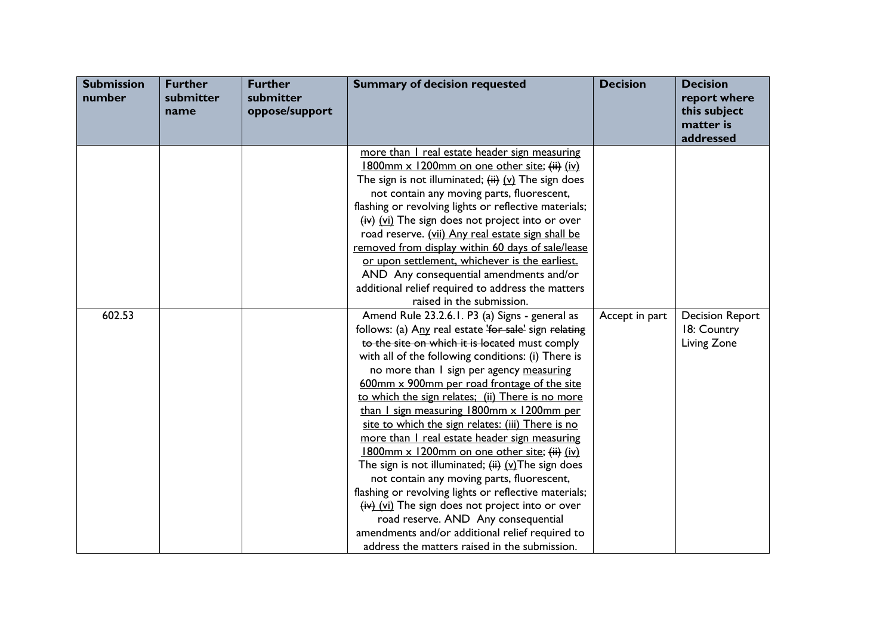| <b>Submission</b><br>number | <b>Further</b><br>submitter<br>name | <b>Further</b><br>submitter<br>oppose/support | <b>Summary of decision requested</b>                                                                                                                                                                                                                                                                                                                                                                                                                                                                                                                                                                                                                                                                                                                                                                                                                                                                                            | <b>Decision</b> | <b>Decision</b><br>report where<br>this subject<br>matter is<br>addressed |
|-----------------------------|-------------------------------------|-----------------------------------------------|---------------------------------------------------------------------------------------------------------------------------------------------------------------------------------------------------------------------------------------------------------------------------------------------------------------------------------------------------------------------------------------------------------------------------------------------------------------------------------------------------------------------------------------------------------------------------------------------------------------------------------------------------------------------------------------------------------------------------------------------------------------------------------------------------------------------------------------------------------------------------------------------------------------------------------|-----------------|---------------------------------------------------------------------------|
|                             |                                     |                                               | more than I real estate header sign measuring<br>1800mm x 1200mm on one other site; (ii) (iv)<br>The sign is not illuminated; $(ii)$ $(v)$ The sign does<br>not contain any moving parts, fluorescent,<br>flashing or revolving lights or reflective materials;<br>$(iv)$ (vi) The sign does not project into or over<br>road reserve. (vii) Any real estate sign shall be<br>removed from display within 60 days of sale/lease<br>or upon settlement, whichever is the earliest.<br>AND Any consequential amendments and/or<br>additional relief required to address the matters<br>raised in the submission.                                                                                                                                                                                                                                                                                                                  |                 |                                                                           |
| 602.53                      |                                     |                                               | Amend Rule 23.2.6.1. P3 (a) Signs - general as<br>follows: (a) Any real estate 'for sale' sign relating<br>to the site on which it is located must comply<br>with all of the following conditions: (i) There is<br>no more than I sign per agency measuring<br>600mm x 900mm per road frontage of the site<br>to which the sign relates; (ii) There is no more<br>than I sign measuring 1800mm x 1200mm per<br>site to which the sign relates: (iii) There is no<br>more than I real estate header sign measuring<br>1800mm x 1200mm on one other site; (ii) (iv)<br>The sign is not illuminated; $(i)$ (v) The sign does<br>not contain any moving parts, fluorescent,<br>flashing or revolving lights or reflective materials;<br>(iv) (vi) The sign does not project into or over<br>road reserve. AND Any consequential<br>amendments and/or additional relief required to<br>address the matters raised in the submission. | Accept in part  | <b>Decision Report</b><br>18: Country<br>Living Zone                      |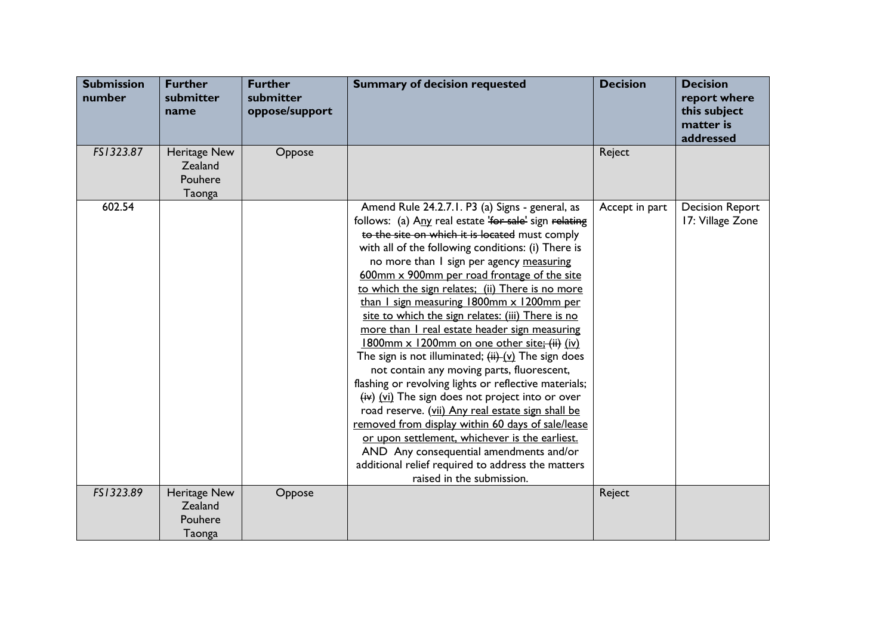| <b>Submission</b><br>number | <b>Further</b><br>submitter<br>name          | <b>Further</b><br>submitter<br>oppose/support | <b>Summary of decision requested</b>                                                                                                                                                                                                                                                                                                                                                                                                                                                                                                                                                                                                                                                                                                                                                                                                                                                                                                                                                                                                                                         | <b>Decision</b> | <b>Decision</b><br>report where<br>this subject<br>matter is<br>addressed |
|-----------------------------|----------------------------------------------|-----------------------------------------------|------------------------------------------------------------------------------------------------------------------------------------------------------------------------------------------------------------------------------------------------------------------------------------------------------------------------------------------------------------------------------------------------------------------------------------------------------------------------------------------------------------------------------------------------------------------------------------------------------------------------------------------------------------------------------------------------------------------------------------------------------------------------------------------------------------------------------------------------------------------------------------------------------------------------------------------------------------------------------------------------------------------------------------------------------------------------------|-----------------|---------------------------------------------------------------------------|
| FS1323.87                   | Heritage New<br>Zealand<br>Pouhere<br>Taonga | Oppose                                        |                                                                                                                                                                                                                                                                                                                                                                                                                                                                                                                                                                                                                                                                                                                                                                                                                                                                                                                                                                                                                                                                              | Reject          |                                                                           |
| 602.54                      |                                              |                                               | Amend Rule 24.2.7.1. P3 (a) Signs - general, as<br>follows: (a) Any real estate 'for sale' sign relating<br>to the site on which it is located must comply<br>with all of the following conditions: (i) There is<br>no more than I sign per agency measuring<br>600mm x 900mm per road frontage of the site<br>to which the sign relates; (ii) There is no more<br>than I sign measuring 1800mm x 1200mm per<br>site to which the sign relates: (iii) There is no<br>more than I real estate header sign measuring<br>1800mm x 1200mm on one other site; (ii) (iv)<br>The sign is not illuminated; $(i)$ The sign does<br>not contain any moving parts, fluorescent,<br>flashing or revolving lights or reflective materials;<br>$(iv)$ (vi) The sign does not project into or over<br>road reserve. (vii) Any real estate sign shall be<br>removed from display within 60 days of sale/lease<br>or upon settlement, whichever is the earliest.<br>AND Any consequential amendments and/or<br>additional relief required to address the matters<br>raised in the submission. | Accept in part  | <b>Decision Report</b><br>17: Village Zone                                |
| FS1323.89                   | Heritage New<br>Zealand<br>Pouhere           | Oppose                                        |                                                                                                                                                                                                                                                                                                                                                                                                                                                                                                                                                                                                                                                                                                                                                                                                                                                                                                                                                                                                                                                                              | Reject          |                                                                           |
|                             | Taonga                                       |                                               |                                                                                                                                                                                                                                                                                                                                                                                                                                                                                                                                                                                                                                                                                                                                                                                                                                                                                                                                                                                                                                                                              |                 |                                                                           |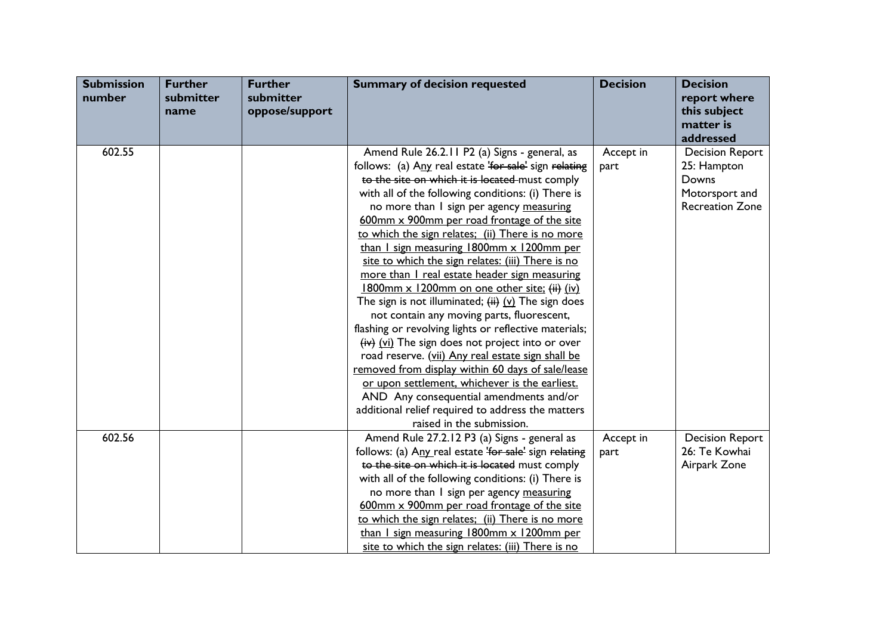| <b>Submission</b><br>number | <b>Further</b><br>submitter<br>name | <b>Further</b><br>submitter<br>oppose/support | <b>Summary of decision requested</b>                  | <b>Decision</b> | <b>Decision</b><br>report where<br>this subject<br>matter is |
|-----------------------------|-------------------------------------|-----------------------------------------------|-------------------------------------------------------|-----------------|--------------------------------------------------------------|
|                             |                                     |                                               |                                                       |                 | addressed                                                    |
| 602.55                      |                                     |                                               | Amend Rule 26.2.11 P2 (a) Signs - general, as         | Accept in       | <b>Decision Report</b>                                       |
|                             |                                     |                                               | follows: (a) Any real estate 'for sale' sign relating | part            | 25: Hampton                                                  |
|                             |                                     |                                               | to the site on which it is located must comply        |                 | Downs                                                        |
|                             |                                     |                                               | with all of the following conditions: (i) There is    |                 | Motorsport and                                               |
|                             |                                     |                                               | no more than I sign per agency measuring              |                 | <b>Recreation Zone</b>                                       |
|                             |                                     |                                               | 600mm x 900mm per road frontage of the site           |                 |                                                              |
|                             |                                     |                                               | to which the sign relates; (ii) There is no more      |                 |                                                              |
|                             |                                     |                                               | than I sign measuring 1800mm x 1200mm per             |                 |                                                              |
|                             |                                     |                                               | site to which the sign relates: (iii) There is no     |                 |                                                              |
|                             |                                     |                                               | more than I real estate header sign measuring         |                 |                                                              |
|                             |                                     |                                               | 1800mm x 1200mm on one other site; (ii) (iv)          |                 |                                                              |
|                             |                                     |                                               | The sign is not illuminated; $(i)$ (v) The sign does  |                 |                                                              |
|                             |                                     |                                               | not contain any moving parts, fluorescent,            |                 |                                                              |
|                             |                                     |                                               | flashing or revolving lights or reflective materials; |                 |                                                              |
|                             |                                     |                                               | $(iv)$ (vi) The sign does not project into or over    |                 |                                                              |
|                             |                                     |                                               | road reserve. (vii) Any real estate sign shall be     |                 |                                                              |
|                             |                                     |                                               | removed from display within 60 days of sale/lease     |                 |                                                              |
|                             |                                     |                                               | or upon settlement, whichever is the earliest.        |                 |                                                              |
|                             |                                     |                                               | AND Any consequential amendments and/or               |                 |                                                              |
|                             |                                     |                                               | additional relief required to address the matters     |                 |                                                              |
|                             |                                     |                                               | raised in the submission.                             |                 |                                                              |
| 602.56                      |                                     |                                               | Amend Rule 27.2.12 P3 (a) Signs - general as          | Accept in       | <b>Decision Report</b>                                       |
|                             |                                     |                                               | follows: (a) Any real estate 'for sale' sign relating | part            | 26: Te Kowhai                                                |
|                             |                                     |                                               | to the site on which it is located must comply        |                 | Airpark Zone                                                 |
|                             |                                     |                                               | with all of the following conditions: (i) There is    |                 |                                                              |
|                             |                                     |                                               | no more than I sign per agency measuring              |                 |                                                              |
|                             |                                     |                                               | 600mm x 900mm per road frontage of the site           |                 |                                                              |
|                             |                                     |                                               | to which the sign relates; (ii) There is no more      |                 |                                                              |
|                             |                                     |                                               | than I sign measuring 1800mm x 1200mm per             |                 |                                                              |
|                             |                                     |                                               | site to which the sign relates: (iii) There is no     |                 |                                                              |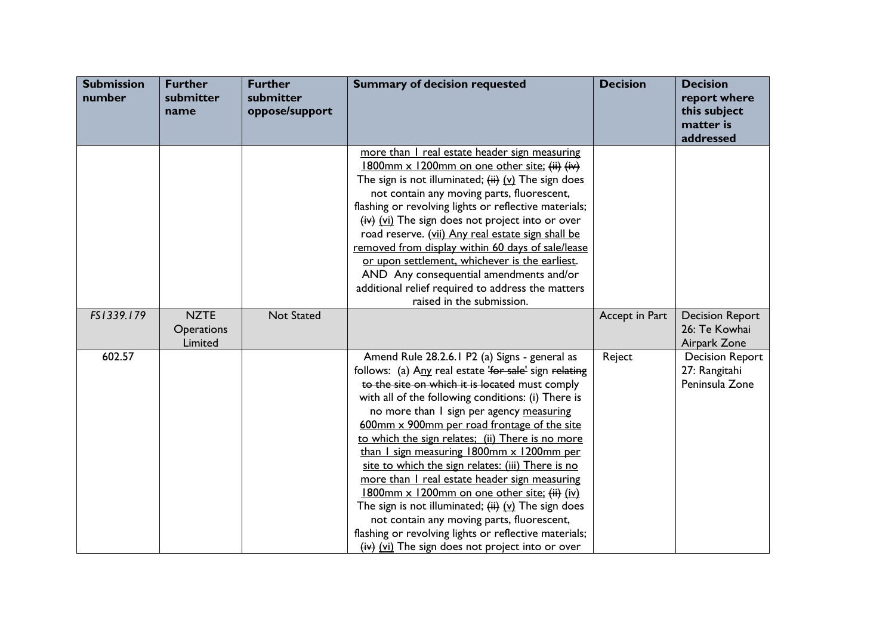| <b>Submission</b><br>number | <b>Further</b><br>submitter<br>name  | <b>Further</b><br>submitter<br>oppose/support | <b>Summary of decision requested</b>                                                                                                                                                                                                                                                                                                                                                                                                                                                                                                                                                                                                                                                                                                                                                    | <b>Decision</b> | <b>Decision</b><br>report where<br>this subject<br>matter is<br>addressed |
|-----------------------------|--------------------------------------|-----------------------------------------------|-----------------------------------------------------------------------------------------------------------------------------------------------------------------------------------------------------------------------------------------------------------------------------------------------------------------------------------------------------------------------------------------------------------------------------------------------------------------------------------------------------------------------------------------------------------------------------------------------------------------------------------------------------------------------------------------------------------------------------------------------------------------------------------------|-----------------|---------------------------------------------------------------------------|
|                             |                                      |                                               | more than I real estate header sign measuring<br>1800mm x 1200mm on one other site; (ii) (iv)<br>The sign is not illuminated; $(i)$ $(i)$ The sign does<br>not contain any moving parts, fluorescent,<br>flashing or revolving lights or reflective materials;<br>$(iv)$ (vi) The sign does not project into or over<br>road reserve. (vii) Any real estate sign shall be<br>removed from display within 60 days of sale/lease<br>or upon settlement, whichever is the earliest.<br>AND Any consequential amendments and/or<br>additional relief required to address the matters<br>raised in the submission.                                                                                                                                                                           |                 |                                                                           |
| FS1339.179                  | <b>NZTE</b><br>Operations<br>Limited | <b>Not Stated</b>                             |                                                                                                                                                                                                                                                                                                                                                                                                                                                                                                                                                                                                                                                                                                                                                                                         | Accept in Part  | <b>Decision Report</b><br>26: Te Kowhai<br>Airpark Zone                   |
| 602.57                      |                                      |                                               | Amend Rule 28.2.6.1 P2 (a) Signs - general as<br>follows: (a) Any real estate 'for sale' sign relating<br>to the site on which it is located must comply<br>with all of the following conditions: (i) There is<br>no more than I sign per agency measuring<br>600mm x 900mm per road frontage of the site<br>to which the sign relates; (ii) There is no more<br>than I sign measuring 1800mm x 1200mm per<br>site to which the sign relates: (iii) There is no<br>more than I real estate header sign measuring<br>1800mm x 1200mm on one other site; (ii) (iv)<br>The sign is not illuminated; $(i)$ $(i)$ The sign does<br>not contain any moving parts, fluorescent,<br>flashing or revolving lights or reflective materials;<br>$(iv)$ (vi) The sign does not project into or over | Reject          | <b>Decision Report</b><br>27: Rangitahi<br>Peninsula Zone                 |